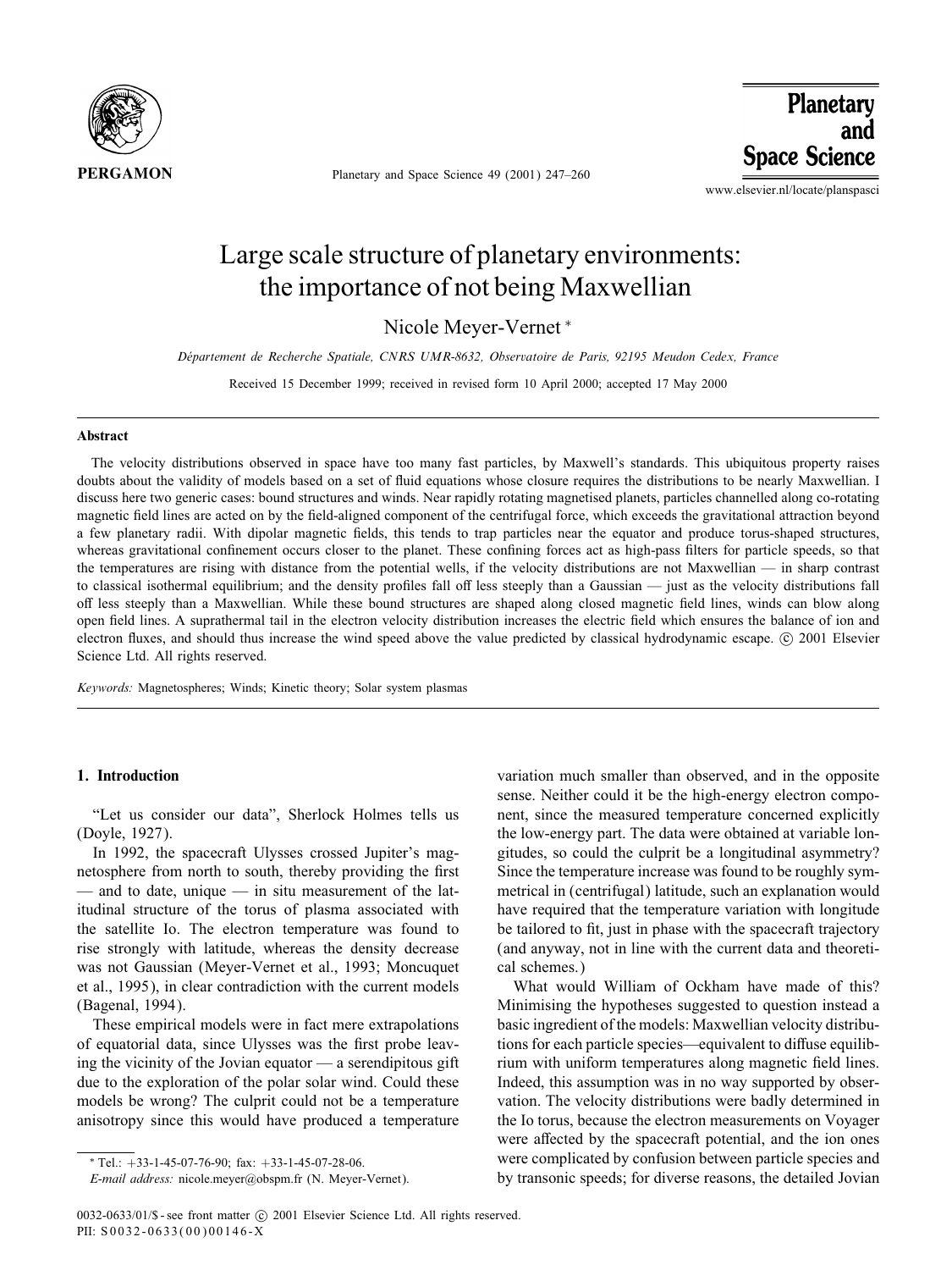

Planetary and Space Science 49 (2001) 247–260

Planetary and **Space Science** 

www.elsevier.nl/locate/planspasci

# Large scale structure of planetary environments: the importance of not being Maxwellian

Nicole Meyer-Vernet <sup>∗</sup>

*Departement de Recherche Spatiale, CNRS UMR-8632, Observatoire de Paris, 92195 Meudon Cedex, France -*

Received 15 December 1999; received in revised form 10 April 2000; accepted 17 May 2000

#### Abstract

The velocity distributions observed in space have too many fast particles, by Maxwell's standards. This ubiquitous property raises doubts about the validity of models based on a set of fluid equations whose closure requires the distributions to be nearly Maxwellian. I discuss here two generic cases: bound structures and winds. Near rapidly rotating magnetised planets, particles channelled along co-rotating magnetic 6eld lines are acted on by the 6eld-aligned component of the centrifugal force, which exceeds the gravitational attraction beyond a few planetary radii. With dipolar magnetic 6elds, this tends to trap particles near the equator and produce torus-shaped structures, whereas gravitational confinement occurs closer to the planet. These confining forces act as high-pass filters for particle speeds, so that the temperatures are rising with distance from the potential wells, if the velocity distributions are not Maxwellian — in sharp contrast to classical isothermal equilibrium; and the density profiles fall off less steeply than a Gaussian — just as the velocity distributions fall off less steeply than a Maxwellian. While these bound structures are shaped along closed magnetic field lines, winds can blow along open 6eld lines. A suprathermal tail in the electron velocity distribution increases the electric 6eld which ensures the balance of ion and electron fluxes, and should thus increase the wind speed above the value predicted by classical hydrodynamic escape. © 2001 Elsevier Science Ltd. All rights reserved.

*Keywords:* Magnetospheres; Winds; Kinetic theory; Solar system plasmas

## 1. Introduction

"Let us consider our data", Sherlock Holmes tells us (Doyle, 1927).

In 1992, the spacecraft Ulysses crossed Jupiter's magnetosphere from north to south, thereby providing the first — and to date, unique — in situ measurement of the latitudinal structure of the torus of plasma associated with the satellite Io. The electron temperature was found to rise strongly with latitude, whereas the density decrease was not Gaussian (Meyer-Vernet et al., 1993; Moncuquet et al., 1995), in clear contradiction with the current models (Bagenal, 1994).

These empirical models were in fact mere extrapolations of equatorial data, since Ulysses was the first probe leaving the vicinity of the Jovian equator — a serendipitous gift due to the exploration of the polar solar wind. Could these models be wrong? The culprit could not be a temperature anisotropy since this would have produced a temperature

 $*$  Tel.:  $+33-1-45-07-76-90$ ; fax:  $+33-1-45-07-28-06$ .

variation much smaller than observed, and in the opposite sense. Neither could it be the high-energy electron component, since the measured temperature concerned explicitly the low-energy part. The data were obtained at variable longitudes, so could the culprit be a longitudinal asymmetry? Since the temperature increase was found to be roughly symmetrical in (centrifugal) latitude, such an explanation would have required that the temperature variation with longitude be tailored to fit, just in phase with the spacecraft trajectory (and anyway, not in line with the current data and theoretical schemes.)

What would William of Ockham have made of this? Minimising the hypotheses suggested to question instead a basic ingredient of the models: Maxwellian velocity distributions for each particle species—equivalent to diffuse equilibrium with uniform temperatures along magnetic field lines. Indeed, this assumption was in no way supported by observation. The velocity distributions were badly determined in the Io torus, because the electron measurements on Voyager were affected by the spacecraft potential, and the ion ones were complicated by confusion between particle species and by transonic speeds; for diverse reasons, the detailed Jovian

*E-mail address:* nicole.meyer@obspm.fr (N. Meyer-Vernet).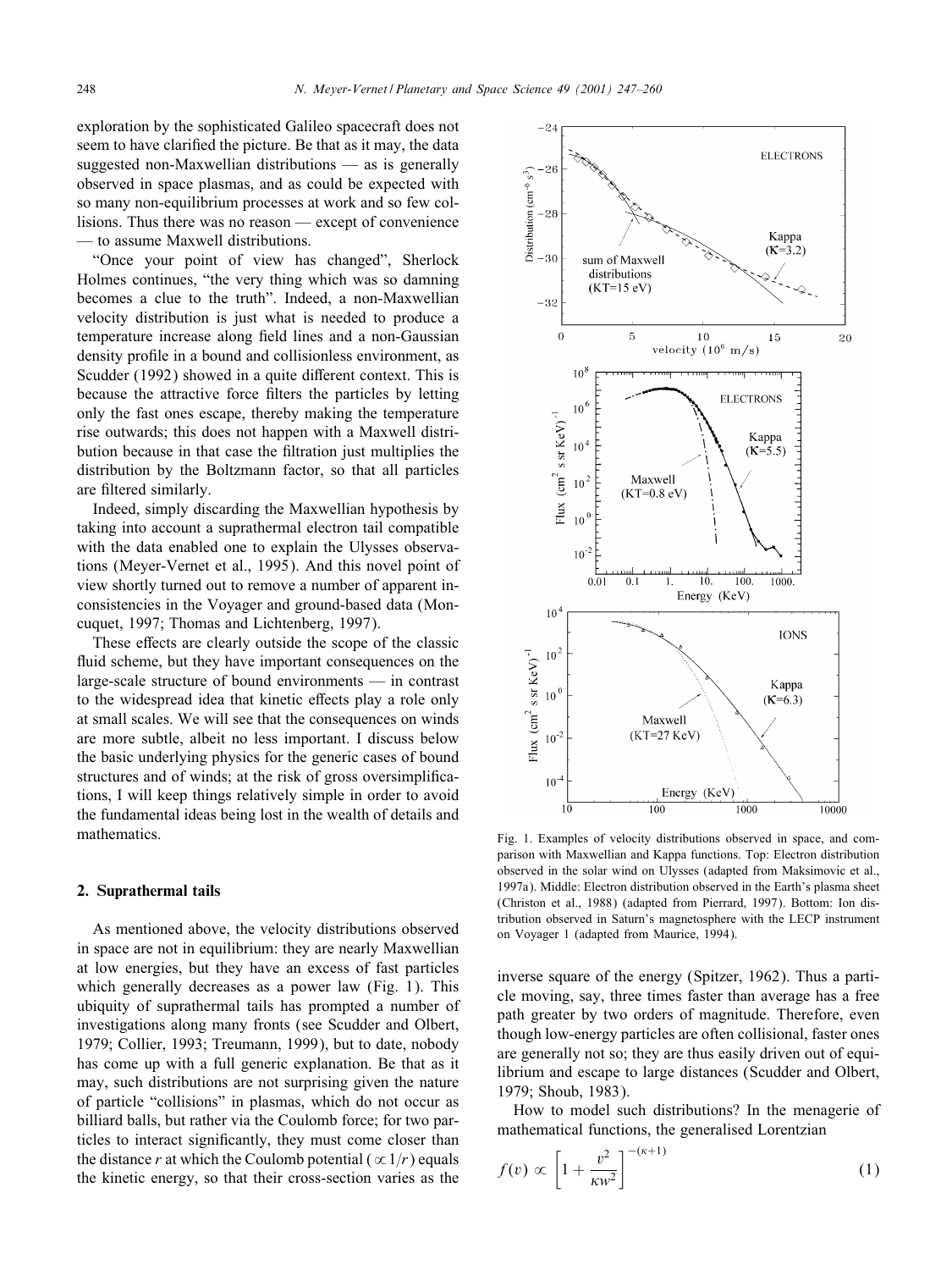exploration by the sophisticated Galileo spacecraft does not seem to have clarified the picture. Be that as it may, the data suggested non-Maxwellian distributions — as is generally observed in space plasmas, and as could be expected with so many non-equilibrium processes at work and so few collisions. Thus there was no reason — except of convenience to assume Maxwell distributions.

"Once your point of view has changed", Sherlock Holmes continues, "the very thing which was so damning becomes a clue to the truth". Indeed, a non-Maxwellian velocity distribution is just what is needed to produce a temperature increase along field lines and a non-Gaussian density pro6le in a bound and collisionless environment, as Scudder (1992) showed in a quite different context. This is because the attractive force filters the particles by letting only the fast ones escape, thereby making the temperature rise outwards; this does not happen with a Maxwell distribution because in that case the 6ltration just multiplies the distribution by the Boltzmann factor, so that all particles are 6ltered similarly.

Indeed, simply discarding the Maxwellian hypothesis by taking into account a suprathermal electron tail compatible with the data enabled one to explain the Ulysses observations (Meyer-Vernet et al., 1995). And this novel point of view shortly turned out to remove a number of apparent inconsistencies in the Voyager and ground-based data (Moncuquet, 1997; Thomas and Lichtenberg, 1997).

These effects are clearly outside the scope of the classic fluid scheme, but they have important consequences on the large-scale structure of bound environments — in contrast to the widespread idea that kinetic effects play a role only at small scales. We will see that the consequences on winds are more subtle, albeit no less important. I discuss below the basic underlying physics for the generic cases of bound structures and of winds; at the risk of gross oversimplifications, I will keep things relatively simple in order to avoid the fundamental ideas being lost in the wealth of details and mathematics.

## 2. Suprathermal tails

As mentioned above, the velocity distributions observed in space are not in equilibrium: they are nearly Maxwellian at low energies, but they have an excess of fast particles which generally decreases as a power law (Fig. 1). This ubiquity of suprathermal tails has prompted a number of investigations along many fronts (see Scudder and Olbert, 1979; Collier, 1993; Treumann, 1999), but to date, nobody has come up with a full generic explanation. Be that as it may, such distributions are not surprising given the nature of particle "collisions" in plasmas, which do not occur as billiard balls, but rather via the Coulomb force; for two particles to interact significantly, they must come closer than the distance r at which the Coulomb potential ( $\alpha$ 1/r) equals the kinetic energy, so that their cross-section varies as the



Fig. 1. Examples of velocity distributions observed in space, and comparison with Maxwellian and Kappa functions. Top: Electron distribution observed in the solar wind on Ulysses (adapted from Maksimovic et al., 1997a). Middle: Electron distribution observed in the Earth's plasma sheet (Christon et al., 1988) (adapted from Pierrard, 1997). Bottom: Ion distribution observed in Saturn's magnetosphere with the LECP instrument on Voyager 1 (adapted from Maurice, 1994).

inverse square of the energy (Spitzer, 1962). Thus a particle moving, say, three times faster than average has a free path greater by two orders of magnitude. Therefore, even though low-energy particles are often collisional, faster ones are generally not so; they are thus easily driven out of equilibrium and escape to large distances (Scudder and Olbert, 1979; Shoub, 1983).

How to model such distributions? In the menagerie of mathematical functions, the generalised Lorentzian

$$
f(v) \propto \left[1 + \frac{v^2}{\kappa w^2}\right]^{-(\kappa+1)}
$$
 (1)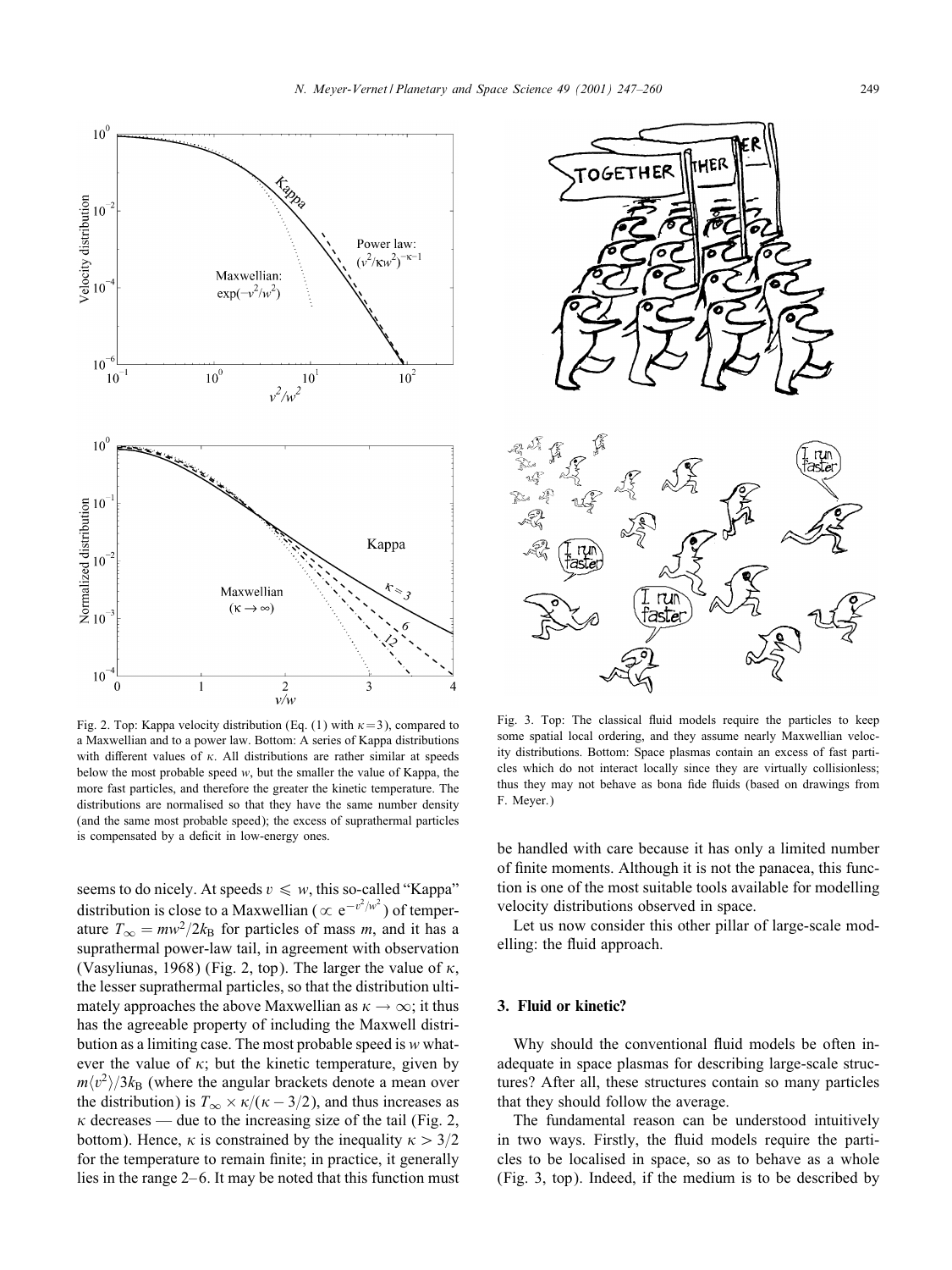

Fig. 2. Top: Kappa velocity distribution (Eq. (1) with  $\kappa$  = 3), compared to a Maxwellian and to a power law. Bottom: A series of Kappa distributions with different values of  $\kappa$ . All distributions are rather similar at speeds below the most probable speed  $w$ , but the smaller the value of Kappa, the more fast particles, and therefore the greater the kinetic temperature. The distributions are normalised so that they have the same number density (and the same most probable speed); the excess of suprathermal particles is compensated by a deficit in low-energy ones.

seems to do nicely. At speeds  $v \leq w$ , this so-called "Kappa" distribution is close to a Maxwellian ( $\propto e^{-v^2/w^2}$ ) of temperature  $T_{\infty} = mw^2/2k_B$  for particles of mass m, and it has a suprathermal power-law tail, in agreement with observation (Vasyliunas, 1968) (Fig. 2, top). The larger the value of  $\kappa$ , the lesser suprathermal particles, so that the distribution ultimately approaches the above Maxwellian as  $\kappa \to \infty$ ; it thus has the agreeable property of including the Maxwell distribution as a limiting case. The most probable speed is w whatever the value of  $\kappa$ ; but the kinetic temperature, given by  $m\langle v^2 \rangle/3k_B$  (where the angular brackets denote a mean over the distribution) is  $T_{\infty} \times \kappa/(\kappa - 3/2)$ , and thus increases as  $\kappa$  decreases — due to the increasing size of the tail (Fig. 2, bottom). Hence,  $\kappa$  is constrained by the inequality  $\kappa > 3/2$ for the temperature to remain finite; in practice, it generally lies in the range 2– 6. It may be noted that this function must



Fig. 3. Top: The classical fluid models require the particles to keep some spatial local ordering, and they assume nearly Maxwellian velocity distributions. Bottom: Space plasmas contain an excess of fast particles which do not interact locally since they are virtually collisionless; thus they may not behave as bona fide fluids (based on drawings from F. Meyer.)

be handled with care because it has only a limited number of 6nite moments. Although it is not the panacea, this function is one of the most suitable tools available for modelling velocity distributions observed in space.

Let us now consider this other pillar of large-scale modelling: the fluid approach.

## 3. Fluid or kinetic?

Why should the conventional fluid models be often inadequate in space plasmas for describing large-scale structures? After all, these structures contain so many particles that they should follow the average.

The fundamental reason can be understood intuitively in two ways. Firstly, the fluid models require the particles to be localised in space, so as to behave as a whole (Fig. 3, top). Indeed, if the medium is to be described by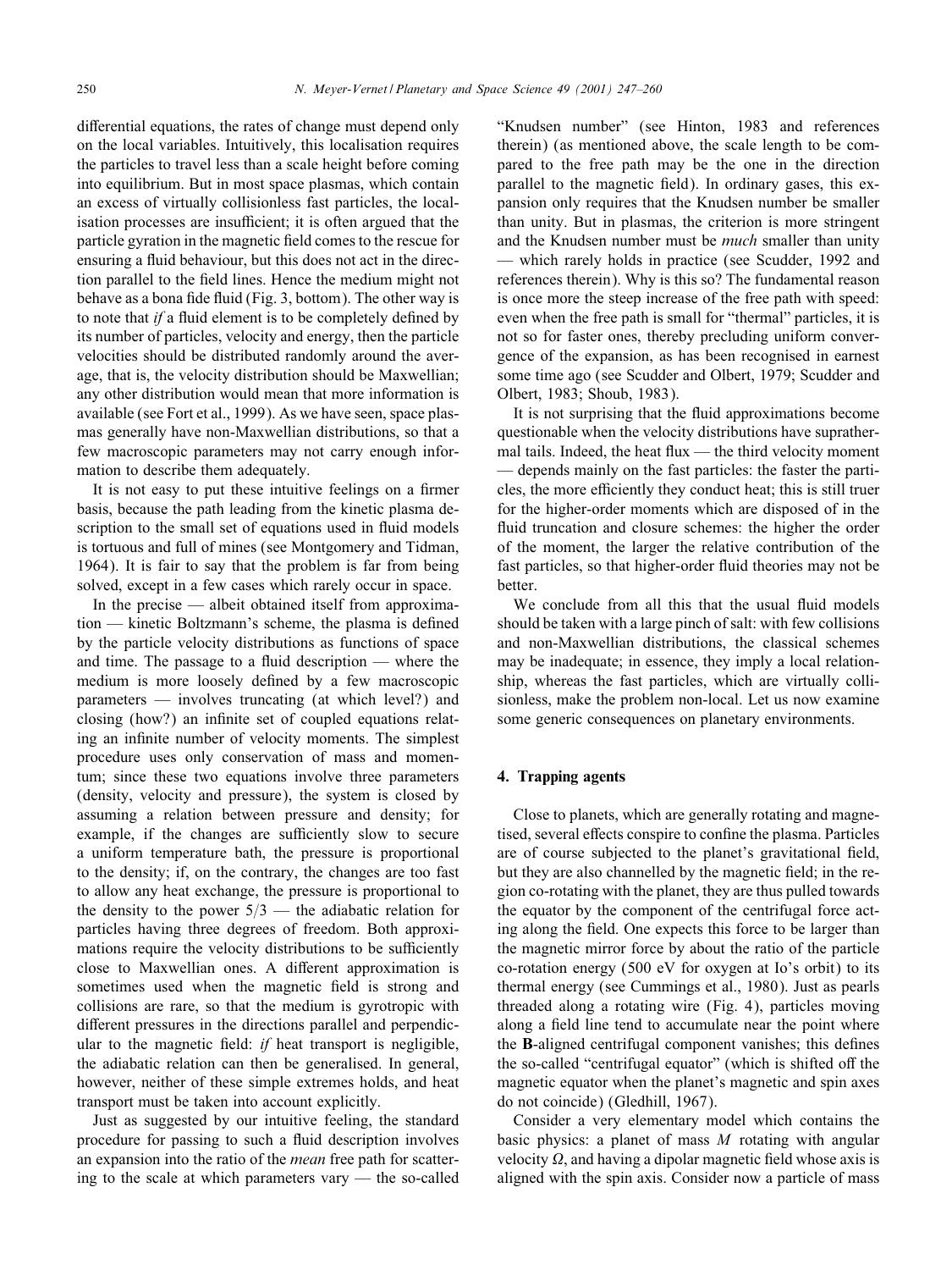differential equations, the rates of change must depend only on the local variables. Intuitively, this localisation requires the particles to travel less than a scale height before coming into equilibrium. But in most space plasmas, which contain an excess of virtually collisionless fast particles, the localisation processes are insufficient; it is often argued that the particle gyration in the magnetic field comes to the rescue for ensuring a fluid behaviour, but this does not act in the direction parallel to the field lines. Hence the medium might not behave as a bona fide fluid (Fig. 3, bottom). The other way is to note that *if* a fluid element is to be completely defined by its number of particles, velocity and energy, then the particle velocities should be distributed randomly around the average, that is, the velocity distribution should be Maxwellian; any other distribution would mean that more information is available (see Fort et al., 1999). As we have seen, space plasmas generally have non-Maxwellian distributions, so that a few macroscopic parameters may not carry enough information to describe them adequately.

It is not easy to put these intuitive feelings on a firmer basis, because the path leading from the kinetic plasma description to the small set of equations used in fluid models is tortuous and full of mines (see Montgomery and Tidman, 1964). It is fair to say that the problem is far from being solved, except in a few cases which rarely occur in space.

In the precise — albeit obtained itself from approxima $tion$  — kinetic Boltzmann's scheme, the plasma is defined by the particle velocity distributions as functions of space and time. The passage to a fluid description  $-$  where the medium is more loosely defined by a few macroscopic parameters — involves truncating (at which level?) and closing (how?) an infinite set of coupled equations relating an infinite number of velocity moments. The simplest procedure uses only conservation of mass and momentum; since these two equations involve three parameters (density, velocity and pressure), the system is closed by assuming a relation between pressure and density; for example, if the changes are sufficiently slow to secure a uniform temperature bath, the pressure is proportional to the density; if, on the contrary, the changes are too fast to allow any heat exchange, the pressure is proportional to the density to the power  $5/3$  — the adiabatic relation for particles having three degrees of freedom. Both approximations require the velocity distributions to be sufficiently close to Maxwellian ones. A different approximation is sometimes used when the magnetic field is strong and collisions are rare, so that the medium is gyrotropic with different pressures in the directions parallel and perpendicular to the magnetic field: *if* heat transport is negligible, the adiabatic relation can then be generalised. In general, however, neither of these simple extremes holds, and heat transport must be taken into account explicitly.

Just as suggested by our intuitive feeling, the standard procedure for passing to such a fluid description involves an expansion into the ratio of the *mean* free path for scattering to the scale at which parameters vary — the so-called

"Knudsen number" (see Hinton, 1983 and references therein) (as mentioned above, the scale length to be compared to the free path may be the one in the direction parallel to the magnetic field). In ordinary gases, this expansion only requires that the Knudsen number be smaller than unity. But in plasmas, the criterion is more stringent and the Knudsen number must be *much* smaller than unity — which rarely holds in practice (see Scudder, 1992 and references therein). Why is this so? The fundamental reason is once more the steep increase of the free path with speed: even when the free path is small for "thermal" particles, it is not so for faster ones, thereby precluding uniform convergence of the expansion, as has been recognised in earnest some time ago (see Scudder and Olbert, 1979; Scudder and Olbert, 1983; Shoub, 1983).

It is not surprising that the fluid approximations become questionable when the velocity distributions have suprathermal tails. Indeed, the heat flux  $-$  the third velocity moment — depends mainly on the fast particles: the faster the particles, the more efficiently they conduct heat; this is still truer for the higher-order moments which are disposed of in the fluid truncation and closure schemes: the higher the order of the moment, the larger the relative contribution of the fast particles, so that higher-order fluid theories may not be better.

We conclude from all this that the usual fluid models should be taken with a large pinch of salt: with few collisions and non-Maxwellian distributions, the classical schemes may be inadequate; in essence, they imply a local relationship, whereas the fast particles, which are virtually collisionless, make the problem non-local. Let us now examine some generic consequences on planetary environments.

## 4. Trapping agents

Close to planets, which are generally rotating and magnetised, several effects conspire to confine the plasma. Particles are of course subjected to the planet's gravitational field, but they are also channelled by the magnetic field; in the region co-rotating with the planet, they are thus pulled towards the equator by the component of the centrifugal force acting along the 6eld. One expects this force to be larger than the magnetic mirror force by about the ratio of the particle co-rotation energy (500 eV for oxygen at Io's orbit) to its thermal energy (see Cummings et al., 1980). Just as pearls threaded along a rotating wire (Fig. 4), particles moving along a field line tend to accumulate near the point where the B-aligned centrifugal component vanishes; this defines the so-called "centrifugal equator" (which is shifted off the magnetic equator when the planet's magnetic and spin axes do not coincide) (Gledhill, 1967).

Consider a very elementary model which contains the basic physics: a planet of mass  $M$  rotating with angular velocity  $\Omega$ , and having a dipolar magnetic field whose axis is aligned with the spin axis. Consider now a particle of mass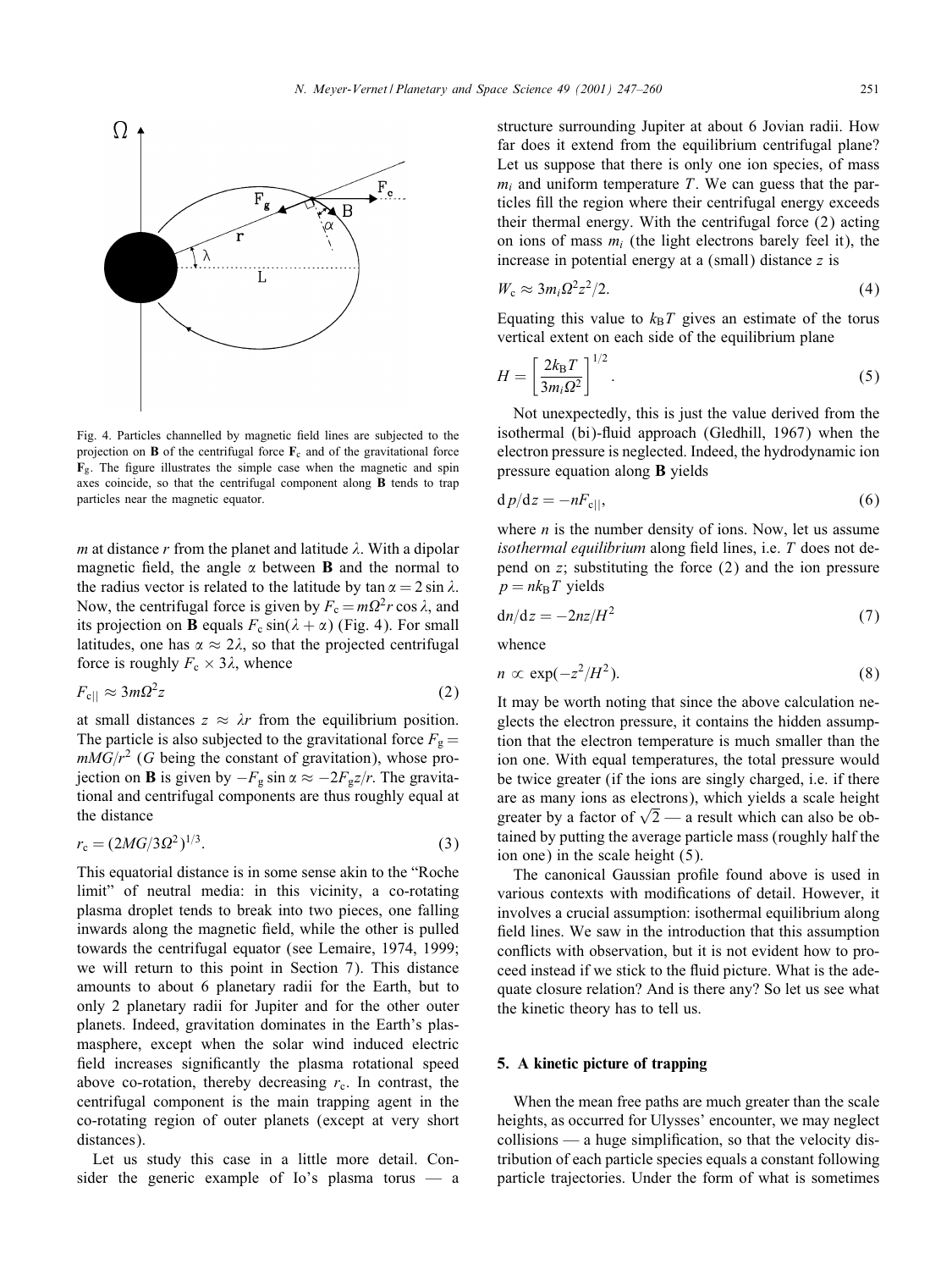

Fig. 4. Particles channelled by magnetic 6eld lines are subjected to the projection on **B** of the centrifugal force  $\mathbf{F}_c$  and of the gravitational force  $\mathbf{F}_{g}$ . The figure illustrates the simple case when the magnetic and spin axes coincide, so that the centrifugal component along B tends to trap particles near the magnetic equator.

m at distance r from the planet and latitude  $\lambda$ . With a dipolar magnetic field, the angle  $\alpha$  between **B** and the normal to the radius vector is related to the latitude by  $\tan \alpha = 2 \sin \lambda$ . Now, the centrifugal force is given by  $F_c = m\Omega^2 r \cos \lambda$ , and its projection on **B** equals  $F_c \sin(\lambda + \alpha)$  (Fig. 4). For small latitudes, one has  $\alpha \approx 2\lambda$ , so that the projected centrifugal force is roughly  $F_c \times 3\lambda$ , whence

$$
F_{\rm c||} \approx 3m\Omega^2 z \tag{2}
$$

at small distances  $z \approx \lambda r$  from the equilibrium position. The particle is also subjected to the gravitational force  $F_g =$  $mMG/r^2$  (G being the constant of gravitation), whose projection on **B** is given by  $-F_g \sin \alpha \approx -2F_g z/r$ . The gravitational and centrifugal components are thus roughly equal at the distance

$$
r_{\rm c} = (2MG/3\Omega^2)^{1/3}.\tag{3}
$$

This equatorial distance is in some sense akin to the "Roche limit" of neutral media: in this vicinity, a co-rotating plasma droplet tends to break into two pieces, one falling inwards along the magnetic field, while the other is pulled towards the centrifugal equator (see Lemaire, 1974, 1999; we will return to this point in Section 7). This distance amounts to about 6 planetary radii for the Earth, but to only 2 planetary radii for Jupiter and for the other outer planets. Indeed, gravitation dominates in the Earth's plasmasphere, except when the solar wind induced electric field increases significantly the plasma rotational speed above co-rotation, thereby decreasing  $r_c$ . In contrast, the centrifugal component is the main trapping agent in the co-rotating region of outer planets (except at very short distances).

Let us study this case in a little more detail. Consider the generic example of Io's plasma torus — a structure surrounding Jupiter at about 6 Jovian radii. How far does it extend from the equilibrium centrifugal plane? Let us suppose that there is only one ion species, of mass  $m_i$  and uniform temperature T. We can guess that the particles 6ll the region where their centrifugal energy exceeds their thermal energy. With the centrifugal force (2) acting on ions of mass  $m_i$  (the light electrons barely feel it), the increase in potential energy at a (small) distance  $z$  is

$$
W_{\rm c} \approx 3m_i \Omega^2 z^2 / 2. \tag{4}
$$

Equating this value to  $k_BT$  gives an estimate of the torus vertical extent on each side of the equilibrium plane

$$
H = \left[\frac{2k_{\rm B}T}{3m_{\rm i}\Omega^2}\right]^{1/2}.\tag{5}
$$

Not unexpectedly, this is just the value derived from the isothermal (bi)-fluid approach (Gledhill, 1967) when the electron pressure is neglected. Indeed, the hydrodynamic ion pressure equation along B yields

$$
d p/dz = -nF_{\rm c||},\tag{6}
$$

where  $n$  is the number density of ions. Now, let us assume *isothermal equilibrium* along field lines, i.e. T does not depend on z; substituting the force (2) and the ion pressure  $p = nk_{\rm B}T$  yields

$$
dn/dz = -2nz/H^2 \tag{7}
$$

whence

$$
n \propto \exp(-z^2/H^2). \tag{8}
$$

It may be worth noting that since the above calculation neglects the electron pressure, it contains the hidden assumption that the electron temperature is much smaller than the ion one. With equal temperatures, the total pressure would be twice greater (if the ions are singly charged, i.e. if there are as many ions as electrons), which yields a scale height greater by a factor of  $\sqrt{2}$  — a result which can also be obtained by putting the average particle mass (roughly half the ion one) in the scale height (5).

The canonical Gaussian profile found above is used in various contexts with modifications of detail. However, it involves a crucial assumption: isothermal equilibrium along field lines. We saw in the introduction that this assumption conflicts with observation, but it is not evident how to proceed instead if we stick to the fluid picture. What is the adequate closure relation? And is there any? So let us see what the kinetic theory has to tell us.

## 5. A kinetic picture of trapping

When the mean free paths are much greater than the scale heights, as occurred for Ulysses' encounter, we may neglect  $collisions$  — a huge simplification, so that the velocity distribution of each particle species equals a constant following particle trajectories. Under the form of what is sometimes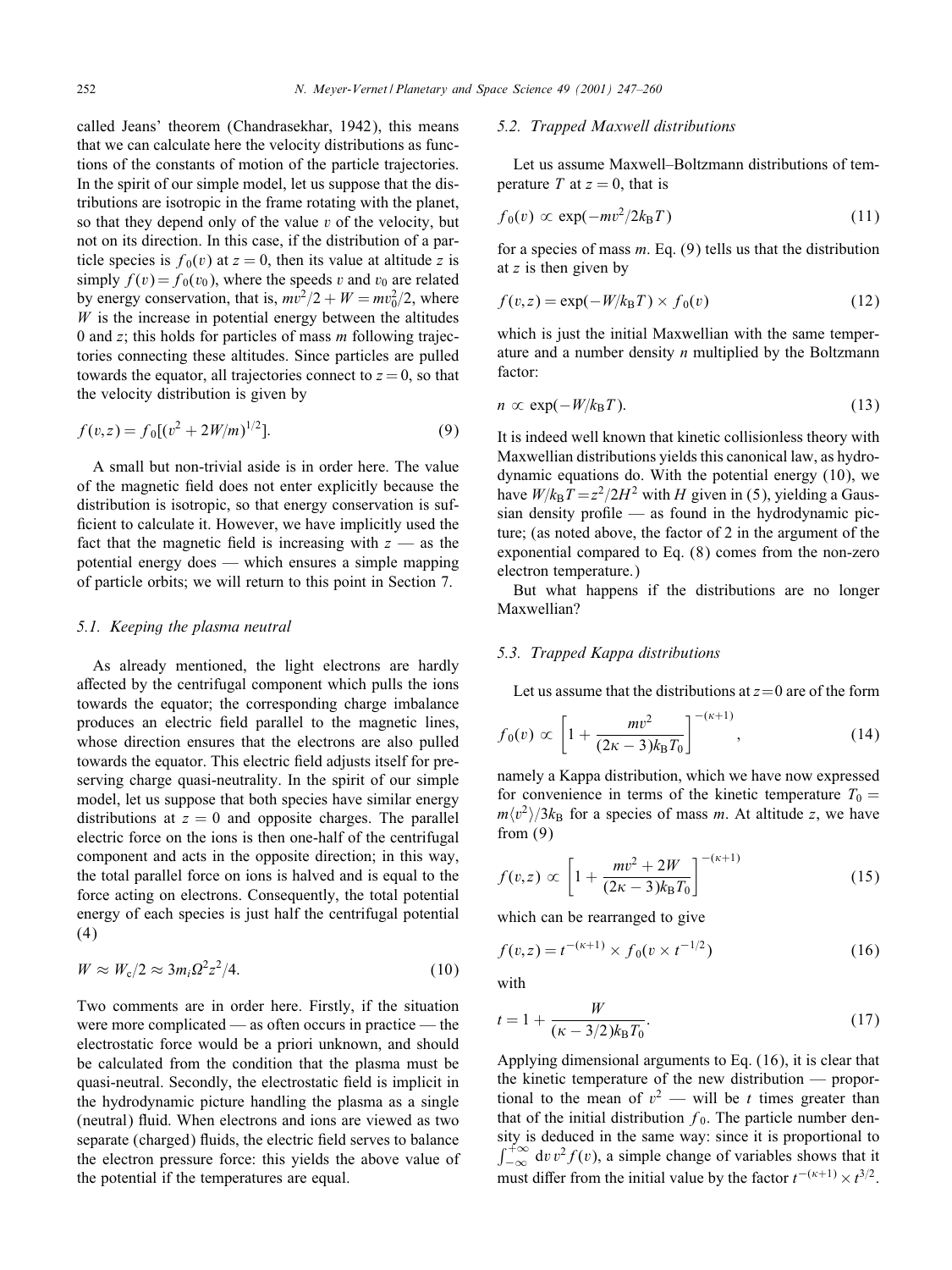called Jeans' theorem (Chandrasekhar, 1942), this means that we can calculate here the velocity distributions as functions of the constants of motion of the particle trajectories. In the spirit of our simple model, let us suppose that the distributions are isotropic in the frame rotating with the planet, so that they depend only of the value  $v$  of the velocity, but not on its direction. In this case, if the distribution of a particle species is  $f_0(v)$  at  $z = 0$ , then its value at altitude z is simply  $f(v) = f_0(v_0)$ , where the speeds v and  $v_0$  are related by energy conservation, that is,  $mv^2/2 + W = mv_0^2/2$ , where  $W$  is the increase in potential energy between the altitudes 0 and z; this holds for particles of mass  *following trajec*tories connecting these altitudes. Since particles are pulled towards the equator, all trajectories connect to  $z = 0$ , so that the velocity distribution is given by

$$
f(v, z) = f_0[(v^2 + 2W/m)^{1/2}].
$$
\n(9)

A small but non-trivial aside is in order here. The value of the magnetic 6eld does not enter explicitly because the distribution is isotropic, so that energy conservation is sufficient to calculate it. However, we have implicitly used the fact that the magnetic field is increasing with  $z$  — as the potential energy does — which ensures a simple mapping of particle orbits; we will return to this point in Section 7.

#### *5.1. Keeping the plasma neutral*

As already mentioned, the light electrons are hardly affected by the centrifugal component which pulls the ions towards the equator; the corresponding charge imbalance produces an electric 6eld parallel to the magnetic lines, whose direction ensures that the electrons are also pulled towards the equator. This electric 6eld adjusts itself for preserving charge quasi-neutrality. In the spirit of our simple model, let us suppose that both species have similar energy distributions at  $z = 0$  and opposite charges. The parallel electric force on the ions is then one-half of the centrifugal component and acts in the opposite direction; in this way, the total parallel force on ions is halved and is equal to the force acting on electrons. Consequently, the total potential energy of each species is just half the centrifugal potential (4)

$$
W \approx W_{\rm c}/2 \approx 3m_i \Omega^2 z^2/4. \tag{10}
$$

Two comments are in order here. Firstly, if the situation were more complicated — as often occurs in practice — the electrostatic force would be a priori unknown, and should be calculated from the condition that the plasma must be quasi-neutral. Secondly, the electrostatic 6eld is implicit in the hydrodynamic picture handling the plasma as a single (neutral) fluid. When electrons and ions are viewed as two separate (charged) fluids, the electric field serves to balance the electron pressure force: this yields the above value of the potential if the temperatures are equal.

## *5.2. Trapped Maxwell distributions*

Let us assume Maxwell–Boltzmann distributions of temperature T at  $z = 0$ , that is

$$
f_0(v) \propto \exp(-mv^2/2k_\text{B}T) \tag{11}
$$

for a species of mass  $m$ . Eq. (9) tells us that the distribution at  $z$  is then given by

$$
f(v, z) = \exp(-W/k_B T) \times f_0(v)
$$
 (12)

which is just the initial Maxwellian with the same temperature and a number density  $n$  multiplied by the Boltzmann factor:

$$
n \propto \exp(-W/k_{\rm B}T). \tag{13}
$$

It is indeed well known that kinetic collisionless theory with Maxwellian distributions yields this canonical law, as hydrodynamic equations do. With the potential energy (10), we have  $W/k_BT = z^2/2H^2$  with H given in (5), yielding a Gaussian density profile — as found in the hydrodynamic picture; (as noted above, the factor of 2 in the argument of the exponential compared to Eq. (8) comes from the non-zero electron temperature.)

But what happens if the distributions are no longer Maxwellian?

## *5.3. Trapped Kappa distributions*

Let us assume that the distributions at  $z=0$  are of the form

$$
f_0(v) \propto \left[1 + \frac{mv^2}{(2\kappa - 3)k_B T_0}\right]^{-(\kappa + 1)},\tag{14}
$$

namely a Kappa distribution, which we have now expressed for convenience in terms of the kinetic temperature  $T_0 =$  $m\langle v^2 \rangle/3k_B$  for a species of mass m. At altitude z, we have from (9)

$$
f(v,z) \propto \left[1 + \frac{mv^2 + 2W}{(2\kappa - 3)k_B T_0}\right]^{-(\kappa + 1)}
$$
(15)

which can be rearranged to give

$$
f(v,z) = t^{-(\kappa+1)} \times f_0(v \times t^{-1/2})
$$
\n(16)

with

$$
t = 1 + \frac{W}{(\kappa - 3/2)k_{\rm B}T_0}.\tag{17}
$$

Applying dimensional arguments to Eq. (16), it is clear that the kinetic temperature of the new distribution — proportional to the mean of  $v^2$  — will be t times greater than that of the initial distribution  $f_0$ . The particle number density is deduced in the same way: since it is proportional to  $\int_{-\infty}^{+\infty} \text{d}v \, v^2 f(v)$ , a simple change of variables shows that it must differ from the initial value by the factor  $t^{-(\kappa+1)} \times t^{3/2}$ .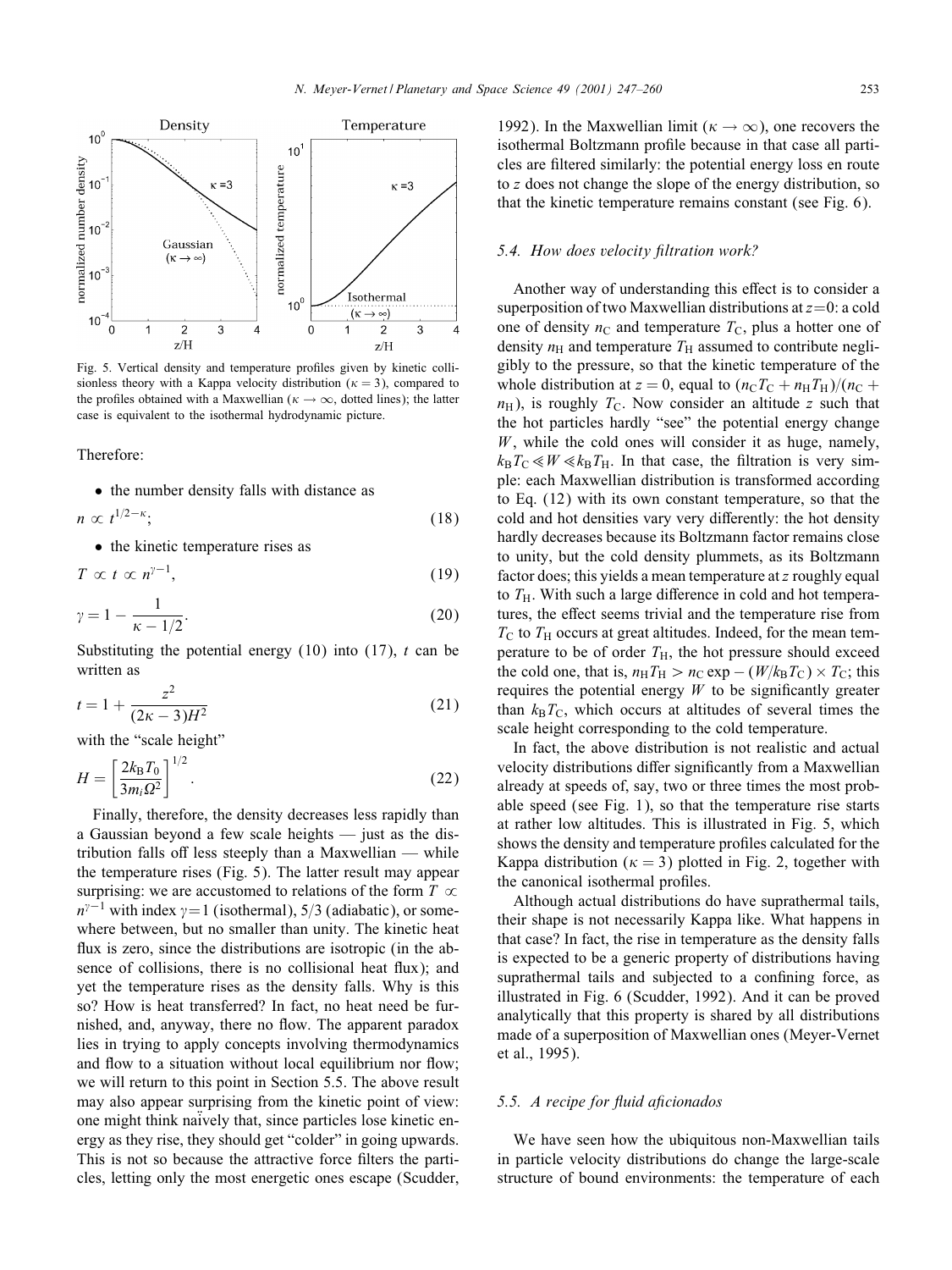

Fig. 5. Vertical density and temperature pro6les given by kinetic collisionless theory with a Kappa velocity distribution ( $\kappa = 3$ ), compared to the profiles obtained with a Maxwellian ( $\kappa \rightarrow \infty$ , dotted lines); the latter case is equivalent to the isothermal hydrodynamic picture.

Therefore:

• the number density falls with distance as

$$
n \propto t^{1/2 - \kappa};\tag{18}
$$

• the kinetic temperature rises as

$$
T \propto t \propto n^{\gamma - 1},\tag{19}
$$

$$
\gamma = 1 - \frac{1}{\kappa - 1/2}.\tag{20}
$$

Substituting the potential energy  $(10)$  into  $(17)$ , t can be written as

$$
t = 1 + \frac{z^2}{(2\kappa - 3)H^2} \tag{21}
$$

with the "scale height"

$$
H = \left[\frac{2k_{\rm B}T_0}{3m_{\rm i}\Omega^2}\right]^{1/2}.\tag{22}
$$

Finally, therefore, the density decreases less rapidly than a Gaussian beyond a few scale heights — just as the distribution falls off less steeply than a Maxwellian  $-$  while the temperature rises (Fig. 5). The latter result may appear surprising: we are accustomed to relations of the form  $T \propto$  $n^{\gamma-1}$  with index  $\gamma=1$  (isothermal), 5/3 (adiabatic), or somewhere between, but no smaller than unity. The kinetic heat flux is zero, since the distributions are isotropic (in the absence of collisions, there is no collisional heat flux); and yet the temperature rises as the density falls. Why is this so? How is heat transferred? In fact, no heat need be furnished, and, anyway, there no flow. The apparent paradox lies in trying to apply concepts involving thermodynamics and flow to a situation without local equilibrium nor flow; we will return to this point in Section 5.5. The above result may also appear surprising from the kinetic point of view: one might think naively that, since particles lose kinetic energy as they rise, they should get "colder" in going upwards. This is not so because the attractive force filters the particles, letting only the most energetic ones escape (Scudder, 1992). In the Maxwellian limit ( $\kappa \to \infty$ ), one recovers the isothermal Boltzmann profile because in that case all particles are 6ltered similarly: the potential energy loss en route to z does not change the slope of the energy distribution, so that the kinetic temperature remains constant (see Fig. 6).

### 5.4. How does velocity filtration work?

Another way of understanding this effect is to consider a superposition of two Maxwellian distributions at  $z=0$ : a cold one of density  $n<sub>C</sub>$  and temperature  $T<sub>C</sub>$ , plus a hotter one of density  $n_H$  and temperature  $T_H$  assumed to contribute negligibly to the pressure, so that the kinetic temperature of the whole distribution at  $z = 0$ , equal to  $(n<sub>C</sub>T<sub>C</sub> + n<sub>H</sub>T<sub>H</sub>)/(n<sub>C</sub> +$  $n_{\rm H}$ ), is roughly  $T_{\rm C}$ . Now consider an altitude z such that the hot particles hardly "see" the potential energy change  $W$ , while the cold ones will consider it as huge, namely,  $k_{\rm B}T_{\rm C} \ll W \ll k_{\rm B}T_{\rm H}$ . In that case, the filtration is very simple: each Maxwellian distribution is transformed according to Eq. (12) with its own constant temperature, so that the cold and hot densities vary very differently: the hot density hardly decreases because its Boltzmann factor remains close to unity, but the cold density plummets, as its Boltzmann factor does; this yields a mean temperature at  $z$  roughly equal to  $T_{\rm H}$ . With such a large difference in cold and hot temperatures, the effect seems trivial and the temperature rise from  $T_{\rm C}$  to  $T_{\rm H}$  occurs at great altitudes. Indeed, for the mean temperature to be of order  $T_H$ , the hot pressure should exceed the cold one, that is,  $n_H T_H > n_C \exp - (W/k_B T_C) \times T_C$ ; this requires the potential energy  $W$  to be significantly greater than  $k_BT_c$ , which occurs at altitudes of several times the scale height corresponding to the cold temperature.

In fact, the above distribution is not realistic and actual velocity distributions differ significantly from a Maxwellian already at speeds of, say, two or three times the most probable speed (see Fig. 1), so that the temperature rise starts at rather low altitudes. This is illustrated in Fig. 5, which shows the density and temperature profiles calculated for the Kappa distribution ( $\kappa = 3$ ) plotted in Fig. 2, together with the canonical isothermal profiles.

Although actual distributions do have suprathermal tails, their shape is not necessarily Kappa like. What happens in that case? In fact, the rise in temperature as the density falls is expected to be a generic property of distributions having suprathermal tails and subjected to a confining force, as illustrated in Fig. 6 (Scudder, 1992). And it can be proved analytically that this property is shared by all distributions made of a superposition of Maxwellian ones (Meyer-Vernet et al., 1995).

#### 5.5. A recipe for fluid aficionados

We have seen how the ubiquitous non-Maxwellian tails in particle velocity distributions do change the large-scale structure of bound environments: the temperature of each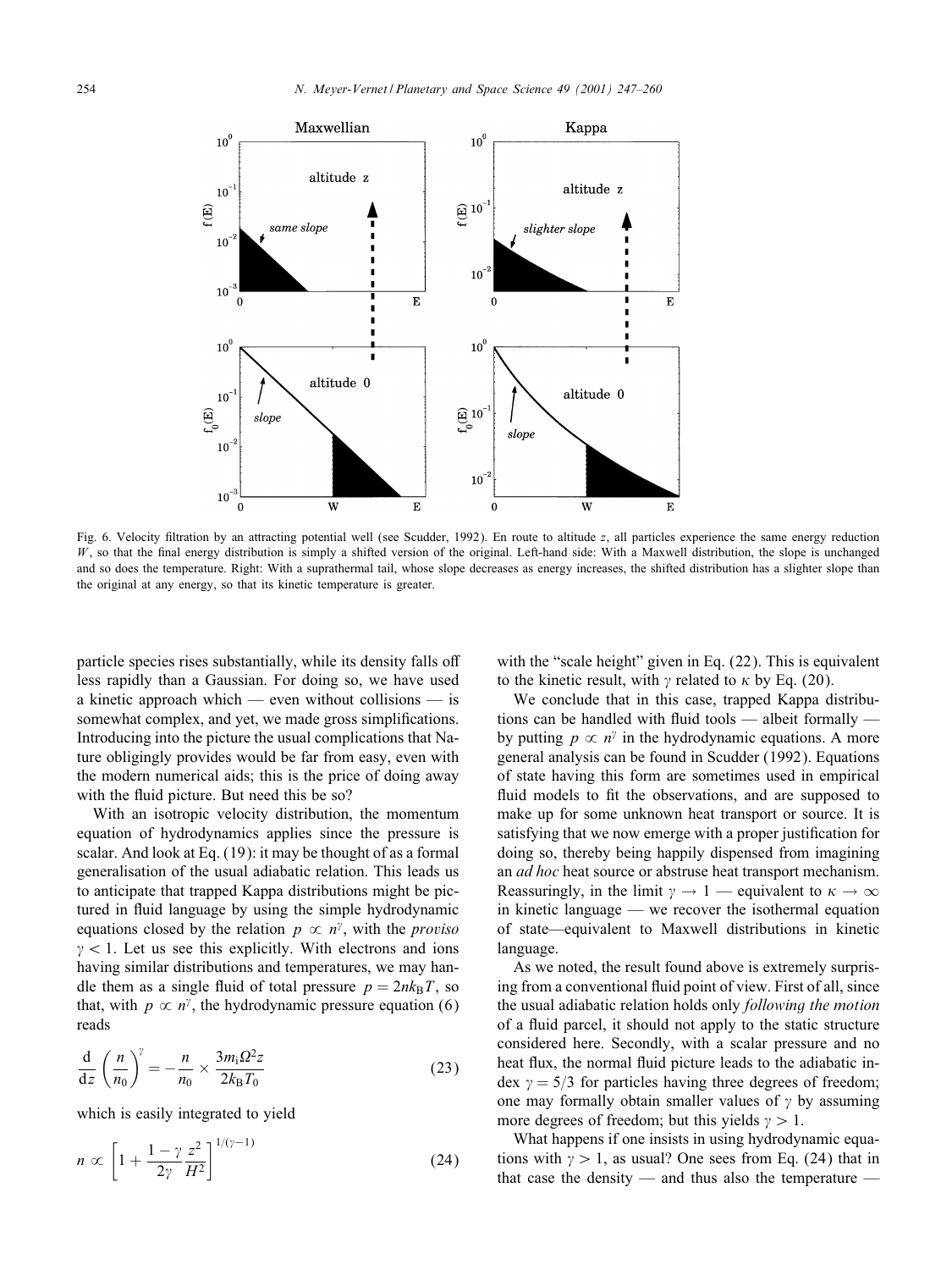

Fig. 6. Velocity 6ltration by an attracting potential well (see Scudder, 1992). En route to altitude z, all particles experience the same energy reduction  $W$ , so that the final energy distribution is simply a shifted version of the original. Left-hand side: With a Maxwell distribution, the slope is unchanged and so does the temperature. Right: With a suprathermal tail, whose slope decreases as energy increases, the shifted distribution has a slighter slope than the original at any energy, so that its kinetic temperature is greater.

particle species rises substantially, while its density falls off less rapidly than a Gaussian. For doing so, we have used a kinetic approach which — even without collisions — is somewhat complex, and yet, we made gross simplifications. Introducing into the picture the usual complications that Nature obligingly provides would be far from easy, even with the modern numerical aids; this is the price of doing away with the fluid picture. But need this be so?

With an isotropic velocity distribution, the momentum equation of hydrodynamics applies since the pressure is scalar. And look at Eq. (19): it may be thought of as a formal generalisation of the usual adiabatic relation. This leads us to anticipate that trapped Kappa distributions might be pictured in fluid language by using the simple hydrodynamic equations closed by the relation  $p \propto n^{\gamma}$ , with the *proviso*  $\gamma$  < 1. Let us see this explicitly. With electrons and ions having similar distributions and temperatures, we may handle them as a single fluid of total pressure  $p = 2nk_BT$ , so that, with  $p \propto n^{\gamma}$ , the hydrodynamic pressure equation (6) reads

$$
\frac{\mathrm{d}}{\mathrm{d}z} \left( \frac{n}{n_0} \right)^{\gamma} = -\frac{n}{n_0} \times \frac{3m_1 \Omega^2 z}{2k_B T_0} \tag{23}
$$

which is easily integrated to yield

$$
n \propto \left[1 + \frac{1 - \gamma z^2}{2\gamma H^2}\right]^{1/(\gamma - 1)}\tag{24}
$$

with the "scale height" given in Eq. (22). This is equivalent to the kinetic result, with  $\gamma$  related to  $\kappa$  by Eq. (20).

We conclude that in this case, trapped Kappa distributions can be handled with fluid tools  $-$  albeit formally  $$ by putting  $p \propto n^{\gamma}$  in the hydrodynamic equations. A more general analysis can be found in Scudder (1992). Equations of state having this form are sometimes used in empirical fluid models to fit the observations, and are supposed to make up for some unknown heat transport or source. It is satisfying that we now emerge with a proper justification for doing so, thereby being happily dispensed from imagining an *ad hoc* heat source or abstruse heat transport mechanism. Reassuringly, in the limit  $\gamma \to 1$  — equivalent to  $\kappa \to \infty$ in kinetic language — we recover the isothermal equation of state—equivalent to Maxwell distributions in kinetic language.

As we noted, the result found above is extremely surprising from a conventional fluid point of view. First of all, since the usual adiabatic relation holds only *following the motion* of a fluid parcel, it should not apply to the static structure considered here. Secondly, with a scalar pressure and no heat flux, the normal fluid picture leads to the adiabatic index  $\gamma = 5/3$  for particles having three degrees of freedom; one may formally obtain smaller values of  $\gamma$  by assuming more degrees of freedom; but this yields  $\gamma > 1$ .

What happens if one insists in using hydrodynamic equations with  $\gamma > 1$ , as usual? One sees from Eq. (24) that in that case the density — and thus also the temperature —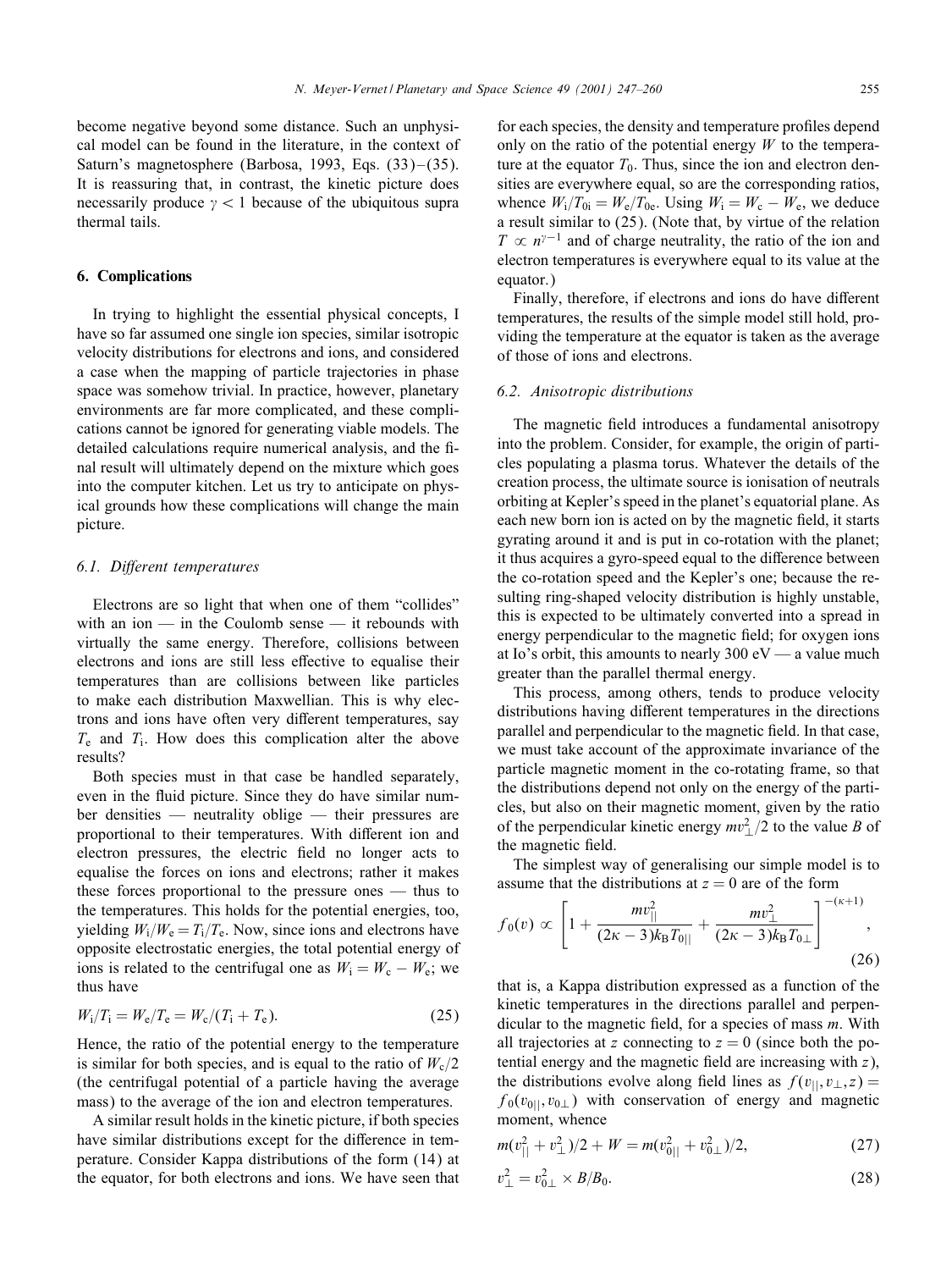become negative beyond some distance. Such an unphysical model can be found in the literature, in the context of Saturn's magnetosphere (Barbosa, 1993, Eqs.  $(33)$ – $(35)$ . It is reassuring that, in contrast, the kinetic picture does necessarily produce  $\gamma$  < 1 because of the ubiquitous supra thermal tails.

## 6. Complications

In trying to highlight the essential physical concepts, I have so far assumed one single ion species, similar isotropic velocity distributions for electrons and ions, and considered a case when the mapping of particle trajectories in phase space was somehow trivial. In practice, however, planetary environments are far more complicated, and these complications cannot be ignored for generating viable models. The detailed calculations require numerical analysis, and the 6 nal result will ultimately depend on the mixture which goes into the computer kitchen. Let us try to anticipate on physical grounds how these complications will change the main picture.

## *6.1. Di?erent temperatures*

Electrons are so light that when one of them "collides" with an ion — in the Coulomb sense — it rebounds with virtually the same energy. Therefore, collisions between electrons and ions are still less effective to equalise their temperatures than are collisions between like particles to make each distribution Maxwellian. This is why electrons and ions have often very different temperatures, say  $T_e$  and  $T_i$ . How does this complication alter the above results?

Both species must in that case be handled separately, even in the fluid picture. Since they do have similar number densities — neutrality oblige — their pressures are proportional to their temperatures. With different ion and electron pressures, the electric field no longer acts to equalise the forces on ions and electrons; rather it makes these forces proportional to the pressure ones — thus to the temperatures. This holds for the potential energies, too, yielding  $W_i/W_e = T_i/T_e$ . Now, since ions and electrons have opposite electrostatic energies, the total potential energy of ions is related to the centrifugal one as  $W_i = W_c - W_e$ ; we thus have

$$
W_{\rm i}/T_{\rm i} = W_{\rm e}/T_{\rm e} = W_{\rm c}/(T_{\rm i} + T_{\rm e}).\tag{25}
$$

Hence, the ratio of the potential energy to the temperature is similar for both species, and is equal to the ratio of  $W_c/2$ (the centrifugal potential of a particle having the average mass) to the average of the ion and electron temperatures.

A similar result holds in the kinetic picture, if both species have similar distributions except for the difference in temperature. Consider Kappa distributions of the form (14) at the equator, for both electrons and ions. We have seen that for each species, the density and temperature profiles depend only on the ratio of the potential energy  $W$  to the temperature at the equator  $T_0$ . Thus, since the ion and electron densities are everywhere equal, so are the corresponding ratios, whence  $W_i/T_{0i} = W_e/T_{0e}$ . Using  $W_i = W_c - W_e$ , we deduce a result similar to (25). (Note that, by virtue of the relation  $T \propto n^{\gamma-1}$  and of charge neutrality, the ratio of the ion and electron temperatures is everywhere equal to its value at the equator.)

Finally, therefore, if electrons and ions do have different temperatures, the results of the simple model still hold, providing the temperature at the equator is taken as the average of those of ions and electrons.

#### *6.2. Anisotropic distributions*

The magnetic field introduces a fundamental anisotropy into the problem. Consider, for example, the origin of particles populating a plasma torus. Whatever the details of the creation process, the ultimate source is ionisation of neutrals orbiting at Kepler's speed in the planet's equatorial plane. As each new born ion is acted on by the magnetic field, it starts gyrating around it and is put in co-rotation with the planet; it thus acquires a gyro-speed equal to the difference between the co-rotation speed and the Kepler's one; because the resulting ring-shaped velocity distribution is highly unstable, this is expected to be ultimately converted into a spread in energy perpendicular to the magnetic field; for oxygen ions at Io's orbit, this amounts to nearly  $300 \text{ eV} -$  a value much greater than the parallel thermal energy.

This process, among others, tends to produce velocity distributions having different temperatures in the directions parallel and perpendicular to the magnetic field. In that case, we must take account of the approximate invariance of the particle magnetic moment in the co-rotating frame, so that the distributions depend not only on the energy of the particles, but also on their magnetic moment, given by the ratio of the perpendicular kinetic energy  $mv_{\perp}^2/2$  to the value B of the magnetic field.

The simplest way of generalising our simple model is to assume that the distributions at  $z = 0$  are of the form

$$
f_0(v) \propto \left[1 + \frac{mv_{||}^2}{(2\kappa - 3)k_BT_{0||}} + \frac{mv_{\perp}^2}{(2\kappa - 3)k_BT_{0\perp}}\right]^{-(\kappa+1)},
$$
\n(26)

that is, a Kappa distribution expressed as a function of the kinetic temperatures in the directions parallel and perpendicular to the magnetic field, for a species of mass  $m$ . With all trajectories at z connecting to  $z = 0$  (since both the potential energy and the magnetic field are increasing with  $z$ ), the distributions evolve along field lines as  $f(v_{||}, v_{||}, z) =$  $f_0(v_{0\parallel}, v_{0\perp})$  with conservation of energy and magnetic moment, whence

$$
m(v_{||}^2 + v_{\perp}^2)/2 + W = m(v_{0||}^2 + v_{0\perp}^2)/2,
$$
 (27)

$$
v_{\perp}^2 = v_{0\perp}^2 \times B/B_0. \tag{28}
$$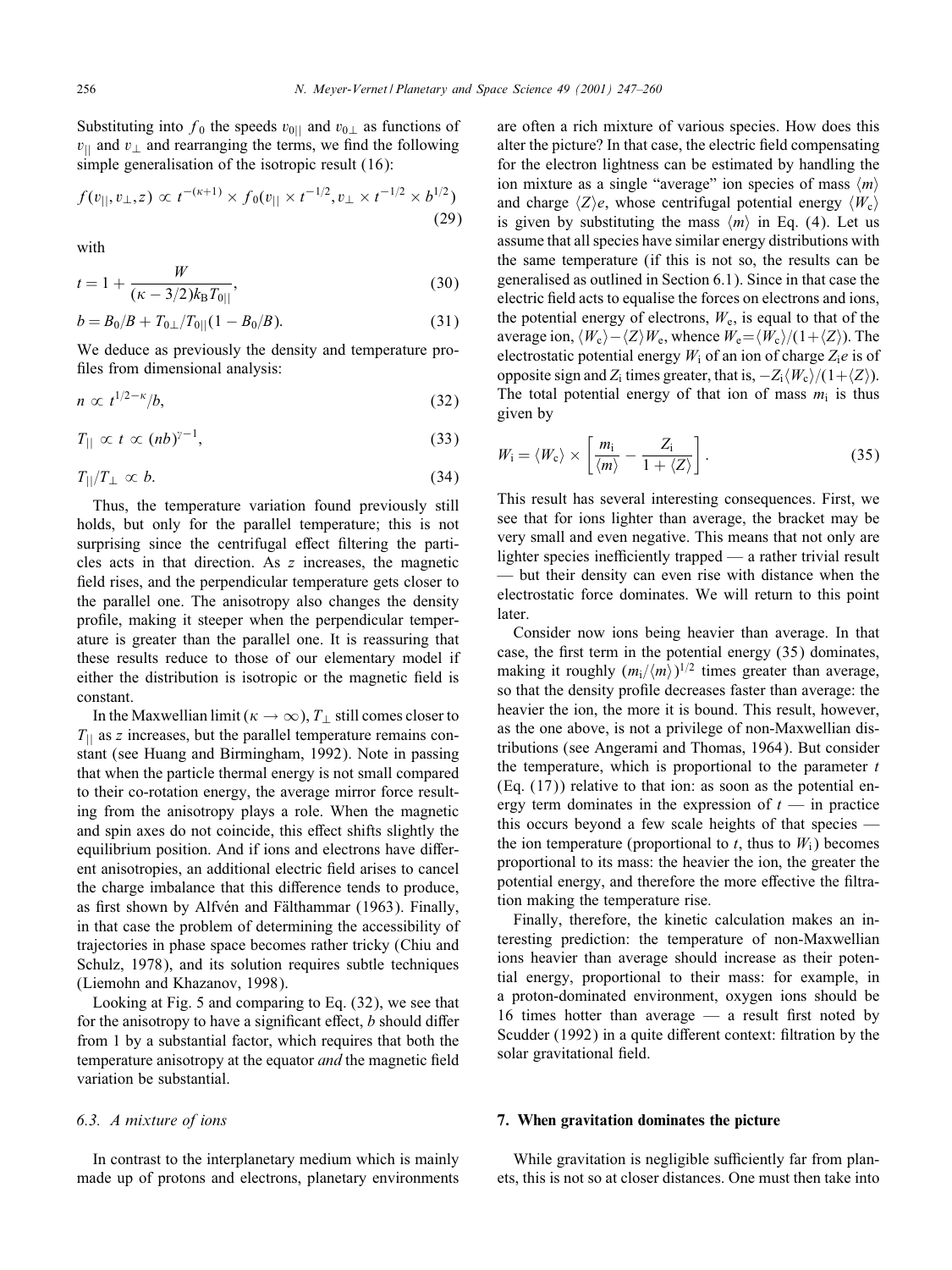Substituting into  $f_0$  the speeds  $v_{0||}$  and  $v_{0\perp}$  as functions of  $v_{\perp}$  and  $v_{\perp}$  and rearranging the terms, we find the following simple generalisation of the isotropic result (16):

$$
f(v_{||}, v_{\perp}, z) \propto t^{-(\kappa+1)} \times f_0(v_{||} \times t^{-1/2}, v_{\perp} \times t^{-1/2} \times b^{1/2})
$$
\n(29)

with

$$
t = 1 + \frac{W}{(\kappa - 3/2)k_{\rm B}T_{0||}},\tag{30}
$$

$$
b = B_0/B + T_{0\perp}/T_{0||}(1 - B_0/B). \tag{31}
$$

We deduce as previously the density and temperature profiles from dimensional analysis:

$$
n \propto t^{1/2 - \kappa}/b,\tag{32}
$$

$$
T_{\parallel} \propto t \propto (nb)^{\gamma - 1}, \tag{33}
$$

$$
T_{\parallel}/T_{\perp} \propto b. \tag{34}
$$

Thus, the temperature variation found previously still holds, but only for the parallel temperature; this is not surprising since the centrifugal effect filtering the particles acts in that direction. As z increases, the magnetic field rises, and the perpendicular temperature gets closer to the parallel one. The anisotropy also changes the density pro6le, making it steeper when the perpendicular temperature is greater than the parallel one. It is reassuring that these results reduce to those of our elementary model if either the distribution is isotropic or the magnetic field is constant.

In the Maxwellian limit ( $\kappa \to \infty$ ),  $T_{\perp}$  still comes closer to  $T_{\parallel}$  as z increases, but the parallel temperature remains constant (see Huang and Birmingham, 1992). Note in passing that when the particle thermal energy is not small compared to their co-rotation energy, the average mirror force resulting from the anisotropy plays a role. When the magnetic and spin axes do not coincide, this effect shifts slightly the equilibrium position. And if ions and electrons have different anisotropies, an additional electric 6eld arises to cancel the charge imbalance that this difference tends to produce, as first shown by Alfvén and Fälthammar (1963). Finally, in that case the problem of determining the accessibility of trajectories in phase space becomes rather tricky (Chiu and Schulz, 1978), and its solution requires subtle techniques (Liemohn and Khazanov, 1998).

Looking at Fig. 5 and comparing to Eq. (32), we see that for the anisotropy to have a significant effect,  $b$  should differ from 1 by a substantial factor, which requires that both the temperature anisotropy at the equator *and* the magnetic field variation be substantial.

## *6.3. A mixture of ions*

In contrast to the interplanetary medium which is mainly made up of protons and electrons, planetary environments are often a rich mixture of various species. How does this alter the picture? In that case, the electric field compensating for the electron lightness can be estimated by handling the ion mixture as a single "average" ion species of mass  $\langle m \rangle$ and charge  $\langle Z \rangle e$ , whose centrifugal potential energy  $\langle W_c \rangle$ is given by substituting the mass  $\langle m \rangle$  in Eq. (4). Let us assume that all species have similar energy distributions with the same temperature (if this is not so, the results can be generalised as outlined in Section 6.1). Since in that case the electric field acts to equalise the forces on electrons and ions, the potential energy of electrons,  $W_e$ , is equal to that of the average ion,  $\langle W_c \rangle - \langle Z \rangle W_e$ , whence  $W_e = \langle W_c \rangle / (1 + \langle Z \rangle)$ . The electrostatic potential energy  $W_i$  of an ion of charge  $Z_i e$  is of opposite sign and Z<sub>i</sub> times greater, that is,  $-Z_i\langle W_c\rangle/(1+\langle Z\rangle)$ . The total potential energy of that ion of mass  $m_i$  is thus given by

$$
W_{\rm i} = \langle W_{\rm c} \rangle \times \left[ \frac{m_{\rm i}}{\langle m \rangle} - \frac{Z_{\rm i}}{1 + \langle Z \rangle} \right]. \tag{35}
$$

This result has several interesting consequences. First, we see that for ions lighter than average, the bracket may be very small and even negative. This means that not only are lighter species inefficiently trapped — a rather trivial result — but their density can even rise with distance when the electrostatic force dominates. We will return to this point later.

Consider now ions being heavier than average. In that case, the first term in the potential energy  $(35)$  dominates, making it roughly  $(m_i/\langle m \rangle)^{1/2}$  times greater than average, so that the density profile decreases faster than average: the heavier the ion, the more it is bound. This result, however, as the one above, is not a privilege of non-Maxwellian distributions (see Angerami and Thomas, 1964). But consider the temperature, which is proportional to the parameter  $t$  $(Eq. (17))$  relative to that ion: as soon as the potential energy term dominates in the expression of  $t$  — in practice this occurs beyond a few scale heights of that species the ion temperature (proportional to t, thus to  $W_i$ ) becomes proportional to its mass: the heavier the ion, the greater the potential energy, and therefore the more effective the filtration making the temperature rise.

Finally, therefore, the kinetic calculation makes an interesting prediction: the temperature of non-Maxwellian ions heavier than average should increase as their potential energy, proportional to their mass: for example, in a proton-dominated environment, oxygen ions should be 16 times hotter than average  $-$  a result first noted by Scudder (1992) in a quite different context: filtration by the solar gravitational field.

#### 7. When gravitation dominates the picture

While gravitation is negligible sufficiently far from planets, this is not so at closer distances. One must then take into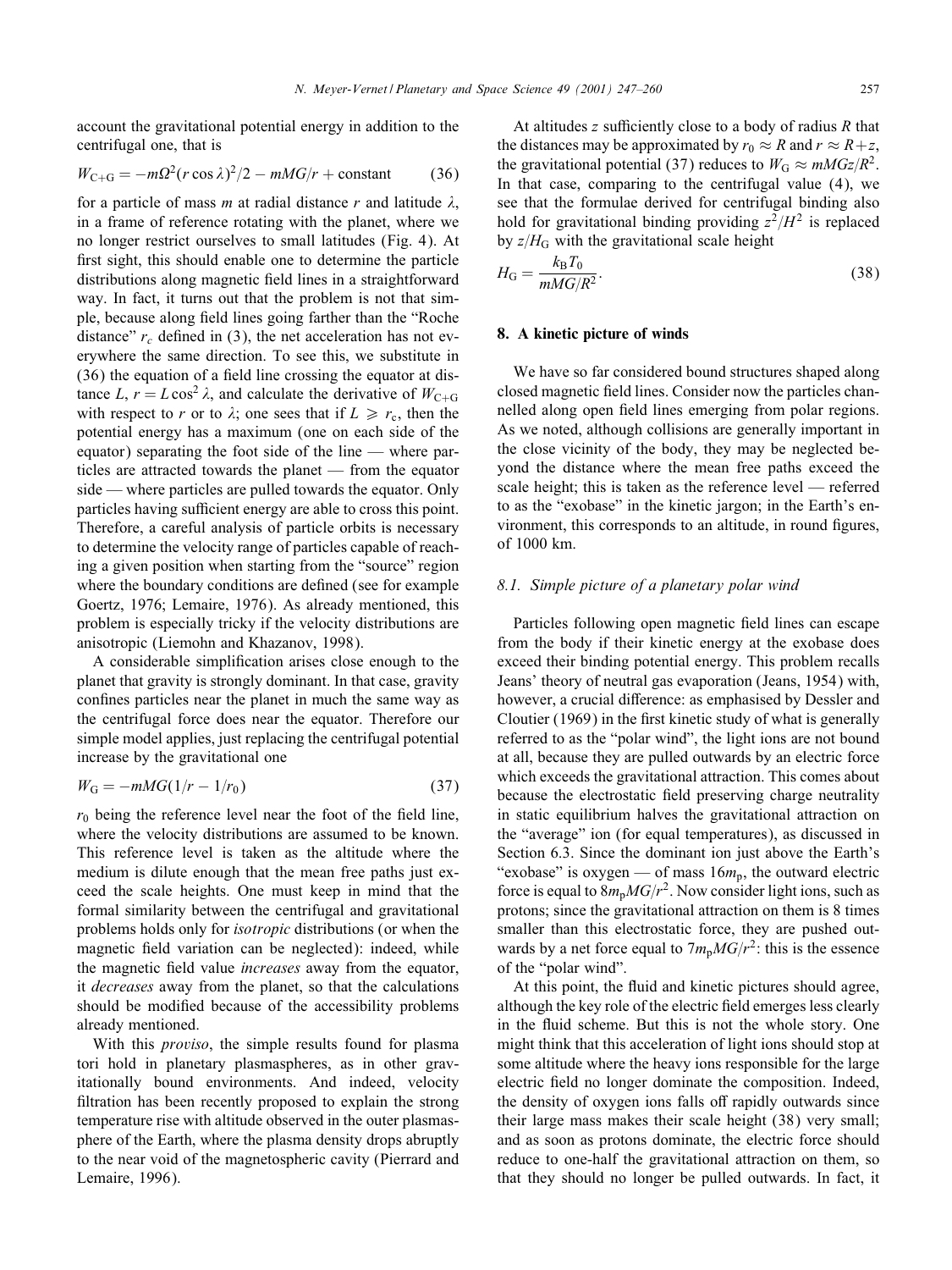account the gravitational potential energy in addition to the centrifugal one, that is

$$
W_{\text{C}+\text{G}} = -m\Omega^2 (r\cos\lambda)^2/2 - mMG/r + \text{constant} \tag{36}
$$

for a particle of mass m at radial distance r and latitude  $\lambda$ . in a frame of reference rotating with the planet, where we no longer restrict ourselves to small latitudes (Fig. 4). At first sight, this should enable one to determine the particle distributions along magnetic field lines in a straightforward way. In fact, it turns out that the problem is not that simple, because along 6eld lines going farther than the "Roche distance"  $r_c$  defined in (3), the net acceleration has not everywhere the same direction. To see this, we substitute in  $(36)$  the equation of a field line crossing the equator at distance L,  $r = L \cos^2 \lambda$ , and calculate the derivative of  $W_{C+G}$ with respect to r or to  $\lambda$ ; one sees that if  $L \ge r_c$ , then the potential energy has a maximum (one on each side of the equator) separating the foot side of the line — where particles are attracted towards the planet — from the equator side — where particles are pulled towards the equator. Only particles having sufficient energy are able to cross this point. Therefore, a careful analysis of particle orbits is necessary to determine the velocity range of particles capable of reaching a given position when starting from the "source" region where the boundary conditions are defined (see for example Goertz, 1976; Lemaire, 1976). As already mentioned, this problem is especially tricky if the velocity distributions are anisotropic (Liemohn and Khazanov, 1998).

A considerable simplification arises close enough to the planet that gravity is strongly dominant. In that case, gravity confines particles near the planet in much the same way as the centrifugal force does near the equator. Therefore our simple model applies, just replacing the centrifugal potential increase by the gravitational one

$$
W_{\rm G} = -mMG(1/r - 1/r_0)
$$
\n(37)

 $r_0$  being the reference level near the foot of the field line, where the velocity distributions are assumed to be known. This reference level is taken as the altitude where the medium is dilute enough that the mean free paths just exceed the scale heights. One must keep in mind that the formal similarity between the centrifugal and gravitational problems holds only for *isotropic* distributions (or when the magnetic field variation can be neglected): indeed, while the magnetic 6eld value *increases* away from the equator, it *decreases* away from the planet, so that the calculations should be modified because of the accessibility problems already mentioned.

With this *proviso*, the simple results found for plasma tori hold in planetary plasmaspheres, as in other gravitationally bound environments. And indeed, velocity filtration has been recently proposed to explain the strong temperature rise with altitude observed in the outer plasmasphere of the Earth, where the plasma density drops abruptly to the near void of the magnetospheric cavity (Pierrard and Lemaire, 1996).

At altitudes  $z$  sufficiently close to a body of radius  $R$  that the distances may be approximated by  $r_0 \approx R$  and  $r \approx R+z$ , the gravitational potential (37) reduces to  $W_G \approx mMG_Z/R^2$ . In that case, comparing to the centrifugal value (4), we see that the formulae derived for centrifugal binding also hold for gravitational binding providing  $z^2/H^2$  is replaced by  $z/H$ <sub>G</sub> with the gravitational scale height

$$
H_{\rm G} = \frac{k_{\rm B} T_0}{m M G / R^2}.
$$
\n
$$
\tag{38}
$$

## 8. A kinetic picture of winds

We have so far considered bound structures shaped along closed magnetic 6eld lines. Consider now the particles channelled along open field lines emerging from polar regions. As we noted, although collisions are generally important in the close vicinity of the body, they may be neglected beyond the distance where the mean free paths exceed the scale height; this is taken as the reference level — referred to as the "exobase" in the kinetic jargon; in the Earth's environment, this corresponds to an altitude, in round figures, of 1000 km.

## *8.1. Simple picture of a planetary polar wind*

Particles following open magnetic field lines can escape from the body if their kinetic energy at the exobase does exceed their binding potential energy. This problem recalls Jeans' theory of neutral gas evaporation (Jeans, 1954) with, however, a crucial difference: as emphasised by Dessler and Cloutier (1969) in the first kinetic study of what is generally referred to as the "polar wind", the light ions are not bound at all, because they are pulled outwards by an electric force which exceeds the gravitational attraction. This comes about because the electrostatic field preserving charge neutrality in static equilibrium halves the gravitational attraction on the "average" ion (for equal temperatures), as discussed in Section 6.3. Since the dominant ion just above the Earth's "exobase" is oxygen — of mass  $16m_p$ , the outward electric force is equal to  $8m_pMG/r^2$ . Now consider light ions, such as protons; since the gravitational attraction on them is 8 times smaller than this electrostatic force, they are pushed outwards by a net force equal to  $7m_pMG/r^2$ : this is the essence of the "polar wind".

At this point, the fluid and kinetic pictures should agree, although the key role of the electric field emerges less clearly in the fluid scheme. But this is not the whole story. One might think that this acceleration of light ions should stop at some altitude where the heavy ions responsible for the large electric field no longer dominate the composition. Indeed, the density of oxygen ions falls off rapidly outwards since their large mass makes their scale height (38) very small; and as soon as protons dominate, the electric force should reduce to one-half the gravitational attraction on them, so that they should no longer be pulled outwards. In fact, it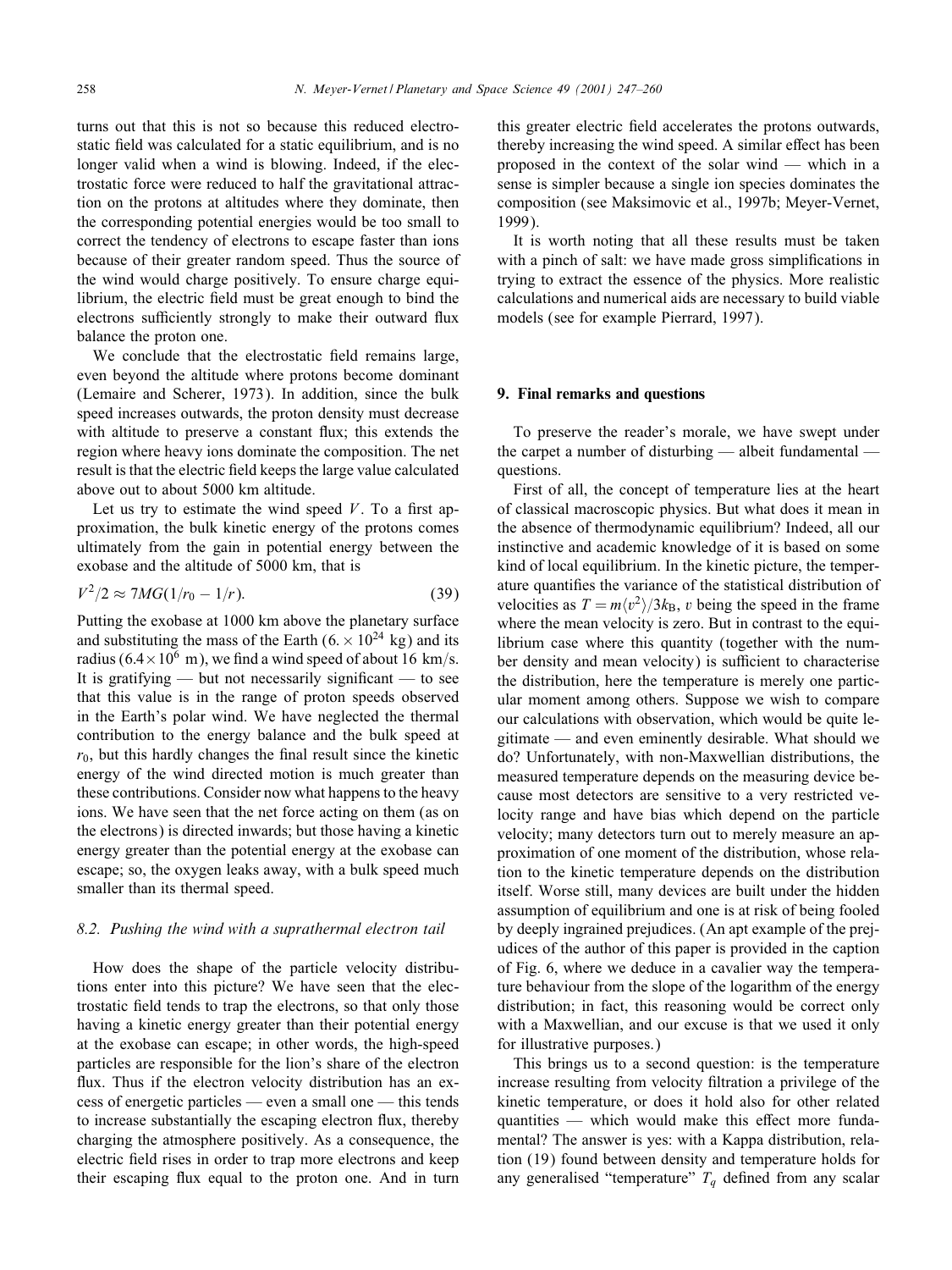turns out that this is not so because this reduced electrostatic field was calculated for a static equilibrium, and is no longer valid when a wind is blowing. Indeed, if the electrostatic force were reduced to half the gravitational attraction on the protons at altitudes where they dominate, then the corresponding potential energies would be too small to correct the tendency of electrons to escape faster than ions because of their greater random speed. Thus the source of the wind would charge positively. To ensure charge equilibrium, the electric field must be great enough to bind the electrons sufficiently strongly to make their outward flux balance the proton one.

We conclude that the electrostatic field remains large, even beyond the altitude where protons become dominant (Lemaire and Scherer, 1973). In addition, since the bulk speed increases outwards, the proton density must decrease with altitude to preserve a constant flux; this extends the region where heavy ions dominate the composition. The net result is that the electric field keeps the large value calculated above out to about 5000 km altitude.

Let us try to estimate the wind speed  $V$ . To a first approximation, the bulk kinetic energy of the protons comes ultimately from the gain in potential energy between the exobase and the altitude of 5000 km, that is

$$
V^2/2 \approx 7MG(1/r_0 - 1/r). \tag{39}
$$

Putting the exobase at 1000 km above the planetary surface and substituting the mass of the Earth  $(6 \times 10^{24} \text{ kg})$  and its radius ( $6.4 \times 10^6$  m), we find a wind speed of about 16 km/s. It is gratifying — but not necessarily significant — to see that this value is in the range of proton speeds observed in the Earth's polar wind. We have neglected the thermal contribution to the energy balance and the bulk speed at  $r_0$ , but this hardly changes the final result since the kinetic energy of the wind directed motion is much greater than these contributions. Consider now what happens to the heavy ions. We have seen that the net force acting on them (as on the electrons) is directed inwards; but those having a kinetic energy greater than the potential energy at the exobase can escape; so, the oxygen leaks away, with a bulk speed much smaller than its thermal speed.

# *8.2. Pushing the wind with a suprathermal electron tail*

How does the shape of the particle velocity distributions enter into this picture? We have seen that the electrostatic field tends to trap the electrons, so that only those having a kinetic energy greater than their potential energy at the exobase can escape; in other words, the high-speed particles are responsible for the lion's share of the electron flux. Thus if the electron velocity distribution has an excess of energetic particles — even a small one — this tends to increase substantially the escaping electron flux, thereby charging the atmosphere positively. As a consequence, the electric field rises in order to trap more electrons and keep their escaping flux equal to the proton one. And in turn

this greater electric field accelerates the protons outwards, thereby increasing the wind speed. A similar effect has been proposed in the context of the solar wind — which in a sense is simpler because a single ion species dominates the composition (see Maksimovic et al., 1997b; Meyer-Vernet, 1999).

It is worth noting that all these results must be taken with a pinch of salt: we have made gross simplifications in trying to extract the essence of the physics. More realistic calculations and numerical aids are necessary to build viable models (see for example Pierrard, 1997).

## 9. Final remarks and questions

To preserve the reader's morale, we have swept under the carpet a number of disturbing — albeit fundamental questions.

First of all, the concept of temperature lies at the heart of classical macroscopic physics. But what does it mean in the absence of thermodynamic equilibrium? Indeed, all our instinctive and academic knowledge of it is based on some kind of local equilibrium. In the kinetic picture, the temperature quantifies the variance of the statistical distribution of velocities as  $T = m \langle v^2 \rangle / 3k_B$ , v being the speed in the frame where the mean velocity is zero. But in contrast to the equilibrium case where this quantity (together with the number density and mean velocity) is sufficient to characterise the distribution, here the temperature is merely one particular moment among others. Suppose we wish to compare our calculations with observation, which would be quite legitimate — and even eminently desirable. What should we do? Unfortunately, with non-Maxwellian distributions, the measured temperature depends on the measuring device because most detectors are sensitive to a very restricted velocity range and have bias which depend on the particle velocity; many detectors turn out to merely measure an approximation of one moment of the distribution, whose relation to the kinetic temperature depends on the distribution itself. Worse still, many devices are built under the hidden assumption of equilibrium and one is at risk of being fooled by deeply ingrained prejudices. (An apt example of the prejudices of the author of this paper is provided in the caption of Fig. 6, where we deduce in a cavalier way the temperature behaviour from the slope of the logarithm of the energy distribution; in fact, this reasoning would be correct only with a Maxwellian, and our excuse is that we used it only for illustrative purposes.)

This brings us to a second question: is the temperature increase resulting from velocity 6ltration a privilege of the kinetic temperature, or does it hold also for other related quantities — which would make this effect more fundamental? The answer is yes: with a Kappa distribution, relation (19) found between density and temperature holds for any generalised "temperature"  $T_q$  defined from any scalar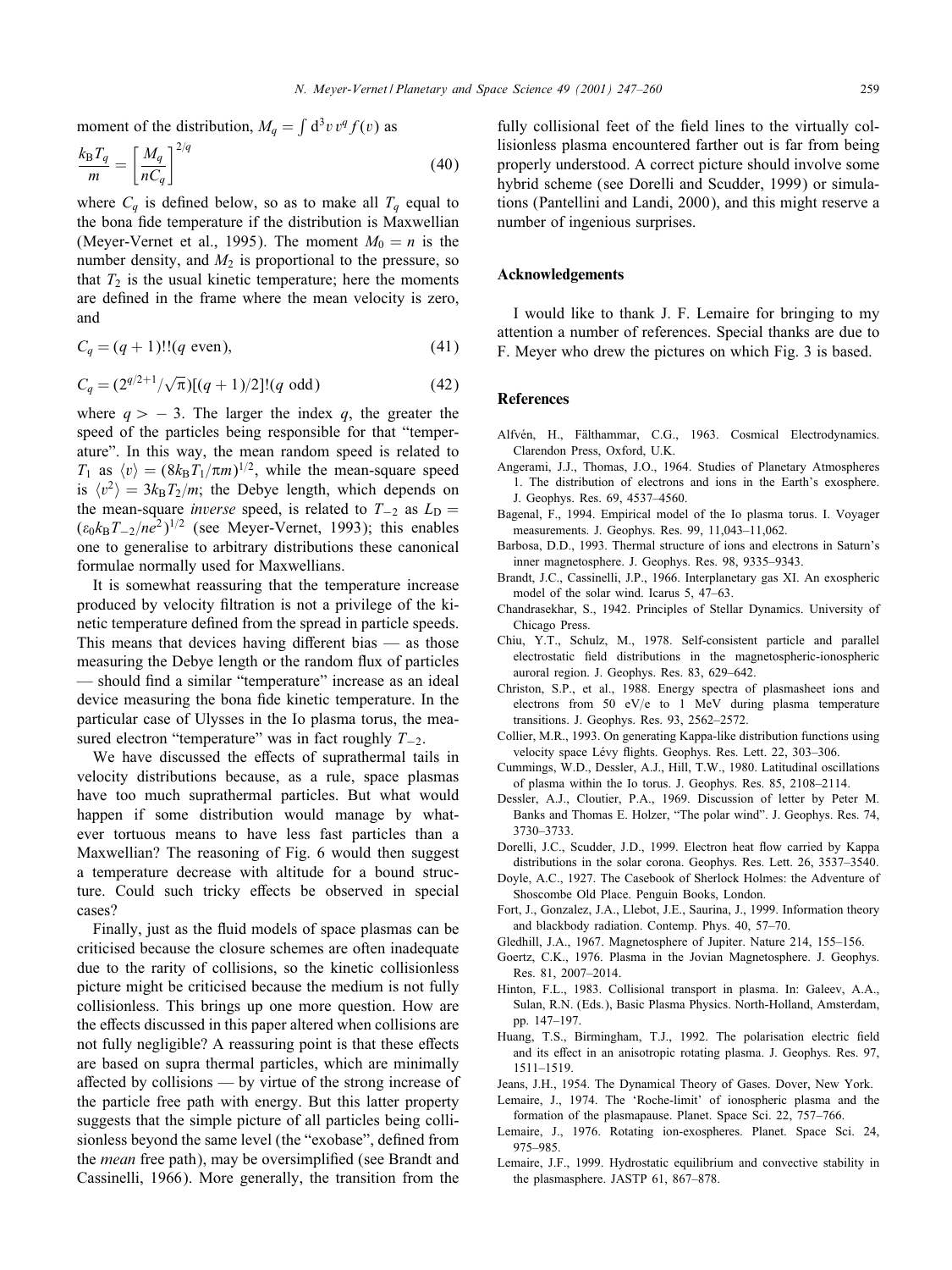moment of the distribution,  $M_q = \int d^3v v^q f(v)$  as

$$
\frac{k_{\rm B}T_q}{m} = \left[\frac{M_q}{nC_q}\right]^{2/q} \tag{40}
$$

where  $C_q$  is defined below, so as to make all  $T_q$  equal to the bona fide temperature if the distribution is Maxwellian (Meyer-Vernet et al., 1995). The moment  $M_0 = n$  is the number density, and  $M_2$  is proportional to the pressure, so that  $T_2$  is the usual kinetic temperature; here the moments are defined in the frame where the mean velocity is zero, and

$$
C_q = (q+1)!!(q \text{ even}),\tag{41}
$$

$$
C_q = (2^{q/2+1}/\sqrt{\pi})[(q+1)/2]!(q \text{ odd})
$$
 (42)

where  $q > -3$ . The larger the index q, the greater the speed of the particles being responsible for that "temperature". In this way, the mean random speed is related to  $T_1$  as  $\langle v \rangle = (8k_BT_1/\pi m)^{1/2}$ , while the mean-square speed is  $\langle v^2 \rangle = 3k_BT_2/m$ ; the Debye length, which depends on the mean-square *inverse* speed, is related to  $T_{-2}$  as  $L_D =$  $(\epsilon_0 k_B T_{-2}/n e^2)^{1/2}$  (see Meyer-Vernet, 1993); this enables one to generalise to arbitrary distributions these canonical formulae normally used for Maxwellians.

It is somewhat reassuring that the temperature increase produced by velocity 6ltration is not a privilege of the kinetic temperature defined from the spread in particle speeds. This means that devices having different bias  $-$  as those measuring the Debye length or the random flux of particles — should find a similar "temperature" increase as an ideal device measuring the bona fide kinetic temperature. In the particular case of Ulysses in the Io plasma torus, the measured electron "temperature" was in fact roughly  $T_{-2}$ .

We have discussed the effects of suprathermal tails in velocity distributions because, as a rule, space plasmas have too much suprathermal particles. But what would happen if some distribution would manage by whatever tortuous means to have less fast particles than a Maxwellian? The reasoning of Fig. 6 would then suggest a temperature decrease with altitude for a bound structure. Could such tricky effects be observed in special cases?

Finally, just as the fluid models of space plasmas can be criticised because the closure schemes are often inadequate due to the rarity of collisions, so the kinetic collisionless picture might be criticised because the medium is not fully collisionless. This brings up one more question. How are the effects discussed in this paper altered when collisions are not fully negligible? A reassuring point is that these effects are based on supra thermal particles, which are minimally affected by collisions — by virtue of the strong increase of the particle free path with energy. But this latter property suggests that the simple picture of all particles being collisionless beyond the same level (the "exobase", defined from the *mean* free path), may be oversimplified (see Brandt and Cassinelli, 1966). More generally, the transition from the

fully collisional feet of the field lines to the virtually collisionless plasma encountered farther out is far from being properly understood. A correct picture should involve some hybrid scheme (see Dorelli and Scudder, 1999) or simulations (Pantellini and Landi, 2000), and this might reserve a number of ingenious surprises.

#### Acknowledgements

I would like to thank J. F. Lemaire for bringing to my attention a number of references. Special thanks are due to F. Meyer who drew the pictures on which Fig. 3 is based.

## **References**

- Alfvén, H., Fälthammar, C.G., 1963. Cosmical Electrodynamics. Clarendon Press, Oxford, U.K.
- Angerami, J.J., Thomas, J.O., 1964. Studies of Planetary Atmospheres 1. The distribution of electrons and ions in the Earth's exosphere. J. Geophys. Res. 69, 4537–4560.
- Bagenal, F., 1994. Empirical model of the Io plasma torus. I. Voyager measurements. J. Geophys. Res. 99, 11,043–11,062.
- Barbosa, D.D., 1993. Thermal structure of ions and electrons in Saturn's inner magnetosphere. J. Geophys. Res. 98, 9335–9343.
- Brandt, J.C., Cassinelli, J.P., 1966. Interplanetary gas XI. An exospheric model of the solar wind. Icarus 5, 47–63.
- Chandrasekhar, S., 1942. Principles of Stellar Dynamics. University of Chicago Press.
- Chiu, Y.T., Schulz, M., 1978. Self-consistent particle and parallel electrostatic 6eld distributions in the magnetospheric-ionospheric auroral region. J. Geophys. Res. 83, 629–642.
- Christon, S.P., et al., 1988. Energy spectra of plasmasheet ions and electrons from 50 eV/e to 1 MeV during plasma temperature transitions. J. Geophys. Res. 93, 2562–2572.
- Collier, M.R., 1993. On generating Kappa-like distribution functions using velocity space Lévy flights. Geophys. Res. Lett. 22, 303-306.
- Cummings, W.D., Dessler, A.J., Hill, T.W., 1980. Latitudinal oscillations of plasma within the Io torus. J. Geophys. Res. 85, 2108–2114.
- Dessler, A.J., Cloutier, P.A., 1969. Discussion of letter by Peter M. Banks and Thomas E. Holzer, "The polar wind". J. Geophys. Res. 74, 3730–3733.
- Dorelli, J.C., Scudder, J.D., 1999. Electron heat flow carried by Kappa distributions in the solar corona. Geophys. Res. Lett. 26, 3537–3540.
- Doyle, A.C., 1927. The Casebook of Sherlock Holmes: the Adventure of Shoscombe Old Place. Penguin Books, London.
- Fort, J., Gonzalez, J.A., Llebot, J.E., Saurina, J., 1999. Information theory and blackbody radiation. Contemp. Phys. 40, 57–70.
- Gledhill, J.A., 1967. Magnetosphere of Jupiter. Nature 214, 155–156.
- Goertz, C.K., 1976. Plasma in the Jovian Magnetosphere. J. Geophys. Res. 81, 2007–2014.
- Hinton, F.L., 1983. Collisional transport in plasma. In: Galeev, A.A., Sulan, R.N. (Eds.), Basic Plasma Physics. North-Holland, Amsterdam, pp. 147–197.
- Huang, T.S., Birmingham, T.J., 1992. The polarisation electric field and its effect in an anisotropic rotating plasma. J. Geophys. Res. 97, 1511–1519.
- Jeans, J.H., 1954. The Dynamical Theory of Gases. Dover, New York.
- Lemaire, J., 1974. The 'Roche-limit' of ionospheric plasma and the formation of the plasmapause. Planet. Space Sci. 22, 757–766.
- Lemaire, J., 1976. Rotating ion-exospheres. Planet. Space Sci. 24, 975–985.
- Lemaire, J.F., 1999. Hydrostatic equilibrium and convective stability in the plasmasphere. JASTP 61, 867–878.